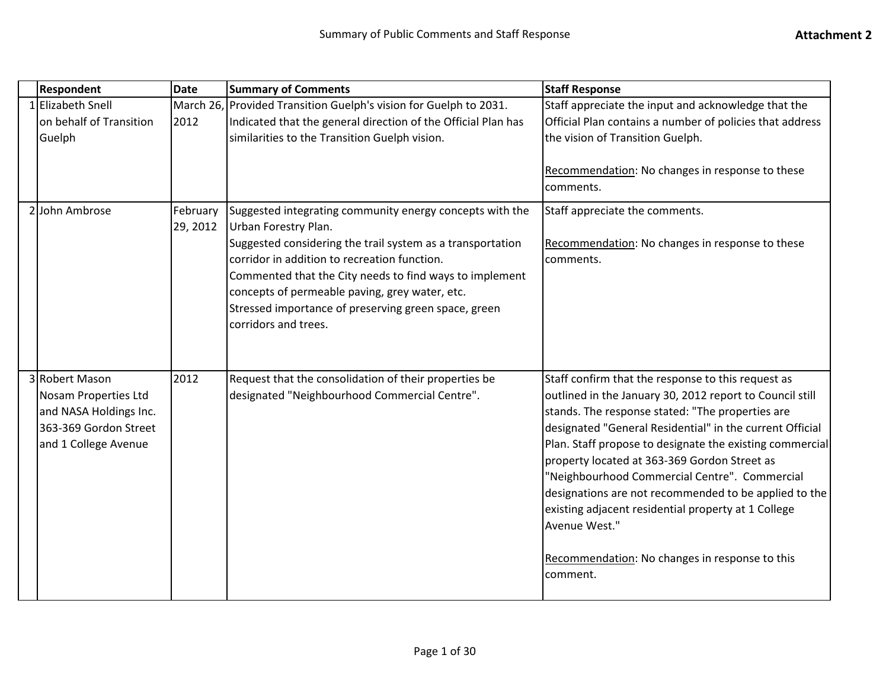| <b>Respondent</b>                                                                                                 | <b>Date</b>          | <b>Summary of Comments</b>                                                                                                                                                                                                                                                                                                                                                                  | <b>Staff Response</b>                                                                                                                                                                                                                                                                                                                                                                                                                                                                                                                                                                      |
|-------------------------------------------------------------------------------------------------------------------|----------------------|---------------------------------------------------------------------------------------------------------------------------------------------------------------------------------------------------------------------------------------------------------------------------------------------------------------------------------------------------------------------------------------------|--------------------------------------------------------------------------------------------------------------------------------------------------------------------------------------------------------------------------------------------------------------------------------------------------------------------------------------------------------------------------------------------------------------------------------------------------------------------------------------------------------------------------------------------------------------------------------------------|
| 1 Elizabeth Snell<br>on behalf of Transition<br>Guelph                                                            | 2012                 | March 26, Provided Transition Guelph's vision for Guelph to 2031.<br>Indicated that the general direction of the Official Plan has<br>similarities to the Transition Guelph vision.                                                                                                                                                                                                         | Staff appreciate the input and acknowledge that the<br>Official Plan contains a number of policies that address<br>the vision of Transition Guelph.<br>Recommendation: No changes in response to these<br>comments.                                                                                                                                                                                                                                                                                                                                                                        |
| 2 John Ambrose                                                                                                    | February<br>29, 2012 | Suggested integrating community energy concepts with the<br>Urban Forestry Plan.<br>Suggested considering the trail system as a transportation<br>corridor in addition to recreation function.<br>Commented that the City needs to find ways to implement<br>concepts of permeable paving, grey water, etc.<br>Stressed importance of preserving green space, green<br>corridors and trees. | Staff appreciate the comments.<br>Recommendation: No changes in response to these<br>comments.                                                                                                                                                                                                                                                                                                                                                                                                                                                                                             |
| 3 Robert Mason<br>Nosam Properties Ltd<br>and NASA Holdings Inc.<br>363-369 Gordon Street<br>and 1 College Avenue | 2012                 | Request that the consolidation of their properties be<br>designated "Neighbourhood Commercial Centre".                                                                                                                                                                                                                                                                                      | Staff confirm that the response to this request as<br>outlined in the January 30, 2012 report to Council still<br>stands. The response stated: "The properties are<br>designated "General Residential" in the current Official<br>Plan. Staff propose to designate the existing commercial<br>property located at 363-369 Gordon Street as<br>"Neighbourhood Commercial Centre". Commercial<br>designations are not recommended to be applied to the<br>existing adjacent residential property at 1 College<br>Avenue West."<br>Recommendation: No changes in response to this<br>comment. |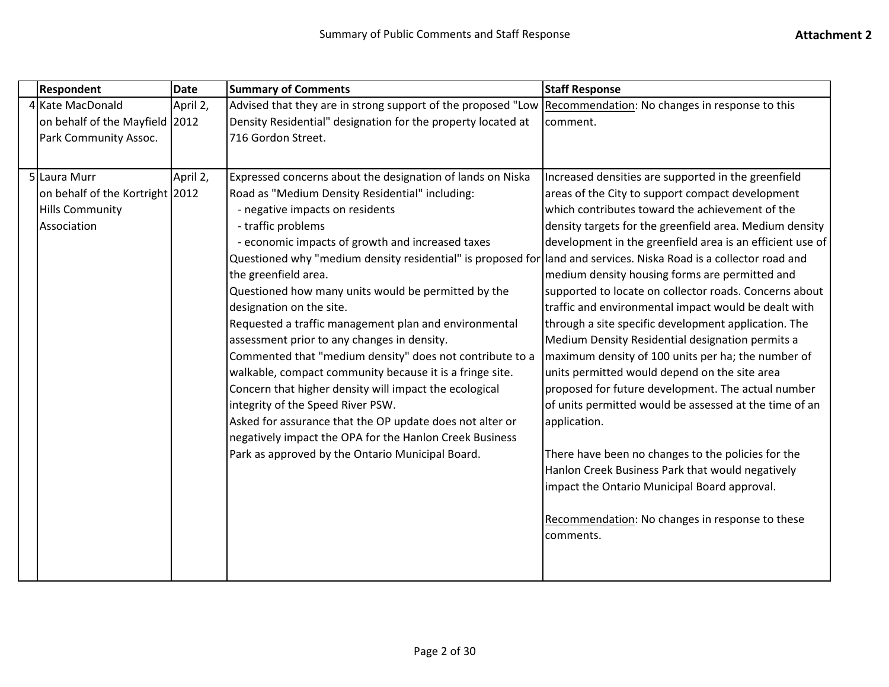| <b>Respondent</b>                                                                        | <b>Date</b> | <b>Summary of Comments</b>                                                                                                                                                                                                                                                                                                                                                                                                                                                                                                                                                                                                                                                                                                                                                                                                                                                                                                                                           | <b>Staff Response</b>                                                                                                                                                                                                                                                                                                                                                                                                                                                                                                                                                                                                                                                                                                                                                                                                                                                                                                                                                                                                               |
|------------------------------------------------------------------------------------------|-------------|----------------------------------------------------------------------------------------------------------------------------------------------------------------------------------------------------------------------------------------------------------------------------------------------------------------------------------------------------------------------------------------------------------------------------------------------------------------------------------------------------------------------------------------------------------------------------------------------------------------------------------------------------------------------------------------------------------------------------------------------------------------------------------------------------------------------------------------------------------------------------------------------------------------------------------------------------------------------|-------------------------------------------------------------------------------------------------------------------------------------------------------------------------------------------------------------------------------------------------------------------------------------------------------------------------------------------------------------------------------------------------------------------------------------------------------------------------------------------------------------------------------------------------------------------------------------------------------------------------------------------------------------------------------------------------------------------------------------------------------------------------------------------------------------------------------------------------------------------------------------------------------------------------------------------------------------------------------------------------------------------------------------|
| 4 Kate MacDonald<br>on behalf of the Mayfield 2012<br>Park Community Assoc.              | April 2,    | Advised that they are in strong support of the proposed "Low Recommendation: No changes in response to this<br>Density Residential" designation for the property located at<br>716 Gordon Street.                                                                                                                                                                                                                                                                                                                                                                                                                                                                                                                                                                                                                                                                                                                                                                    | comment.                                                                                                                                                                                                                                                                                                                                                                                                                                                                                                                                                                                                                                                                                                                                                                                                                                                                                                                                                                                                                            |
| 5 Laura Murr<br>on behalf of the Kortright 2012<br><b>Hills Community</b><br>Association | April 2,    | Expressed concerns about the designation of lands on Niska<br>Road as "Medium Density Residential" including:<br>- negative impacts on residents<br>- traffic problems<br>- economic impacts of growth and increased taxes<br>Questioned why "medium density residential" is proposed for land and services. Niska Road is a collector road and<br>the greenfield area.<br>Questioned how many units would be permitted by the<br>designation on the site.<br>Requested a traffic management plan and environmental<br>assessment prior to any changes in density.<br>Commented that "medium density" does not contribute to a<br>walkable, compact community because it is a fringe site.<br>Concern that higher density will impact the ecological<br>integrity of the Speed River PSW.<br>Asked for assurance that the OP update does not alter or<br>negatively impact the OPA for the Hanlon Creek Business<br>Park as approved by the Ontario Municipal Board. | Increased densities are supported in the greenfield<br>areas of the City to support compact development<br>which contributes toward the achievement of the<br>density targets for the greenfield area. Medium density<br>development in the greenfield area is an efficient use of<br>medium density housing forms are permitted and<br>supported to locate on collector roads. Concerns about<br>traffic and environmental impact would be dealt with<br>through a site specific development application. The<br>Medium Density Residential designation permits a<br>maximum density of 100 units per ha; the number of<br>units permitted would depend on the site area<br>proposed for future development. The actual number<br>of units permitted would be assessed at the time of an<br>application.<br>There have been no changes to the policies for the<br>Hanlon Creek Business Park that would negatively<br>impact the Ontario Municipal Board approval.<br>Recommendation: No changes in response to these<br>comments. |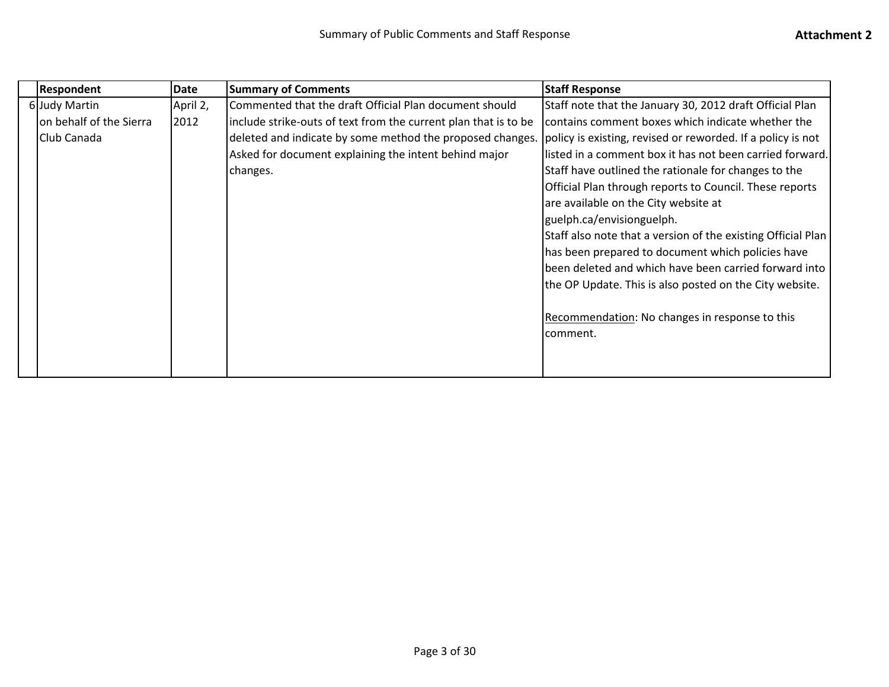|  | <b>Respondent</b>       | Date     | <b>Summary of Comments</b>                                      | <b>Staff Response</b>                                        |
|--|-------------------------|----------|-----------------------------------------------------------------|--------------------------------------------------------------|
|  | 6 Judy Martin           | April 2, | Commented that the draft Official Plan document should          | Staff note that the January 30, 2012 draft Official Plan     |
|  | on behalf of the Sierra | 2012     | include strike-outs of text from the current plan that is to be | contains comment boxes which indicate whether the            |
|  | Club Canada             |          | deleted and indicate by some method the proposed changes.       | policy is existing, revised or reworded. If a policy is not  |
|  |                         |          | Asked for document explaining the intent behind major           | listed in a comment box it has not been carried forward.     |
|  |                         |          | changes.                                                        | Staff have outlined the rationale for changes to the         |
|  |                         |          |                                                                 | Official Plan through reports to Council. These reports      |
|  |                         |          |                                                                 | are available on the City website at                         |
|  |                         |          |                                                                 | guelph.ca/envisionguelph.                                    |
|  |                         |          |                                                                 | Staff also note that a version of the existing Official Plan |
|  |                         |          |                                                                 | has been prepared to document which policies have            |
|  |                         |          |                                                                 | been deleted and which have been carried forward into        |
|  |                         |          |                                                                 | the OP Update. This is also posted on the City website.      |
|  |                         |          |                                                                 |                                                              |
|  |                         |          |                                                                 | Recommendation: No changes in response to this               |
|  |                         |          |                                                                 | comment.                                                     |
|  |                         |          |                                                                 |                                                              |
|  |                         |          |                                                                 |                                                              |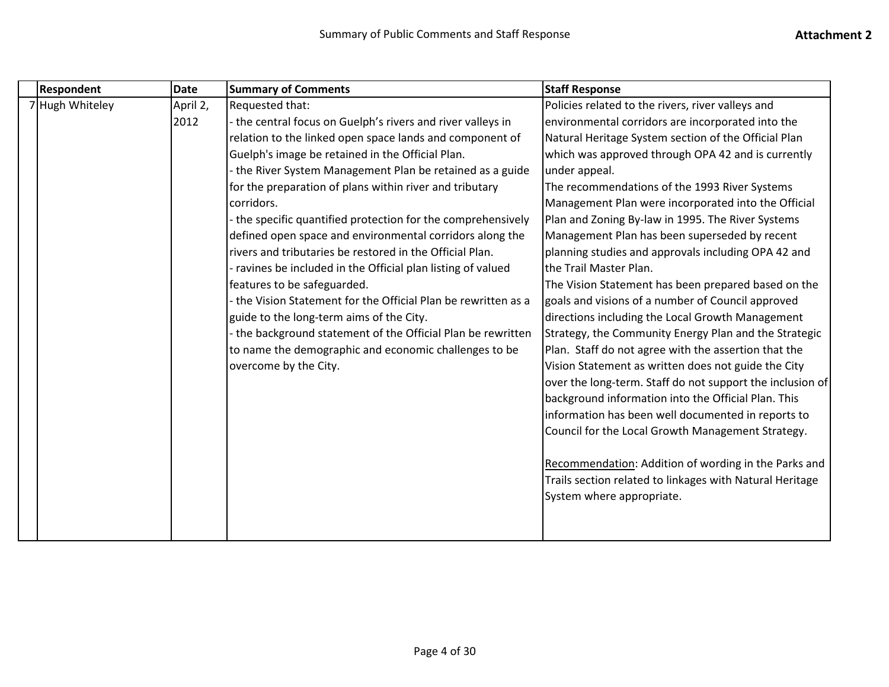| <b>Respondent</b> | <b>Date</b> | <b>Summary of Comments</b>                                   | <b>Staff Response</b>                                     |
|-------------------|-------------|--------------------------------------------------------------|-----------------------------------------------------------|
| 7 Hugh Whiteley   | April 2,    | Requested that:                                              | Policies related to the rivers, river valleys and         |
|                   | 2012        | the central focus on Guelph's rivers and river valleys in    | environmental corridors are incorporated into the         |
|                   |             | relation to the linked open space lands and component of     | Natural Heritage System section of the Official Plan      |
|                   |             | Guelph's image be retained in the Official Plan.             | which was approved through OPA 42 and is currently        |
|                   |             | the River System Management Plan be retained as a guide      | under appeal.                                             |
|                   |             | for the preparation of plans within river and tributary      | The recommendations of the 1993 River Systems             |
|                   |             | corridors.                                                   | Management Plan were incorporated into the Official       |
|                   |             | the specific quantified protection for the comprehensively   | Plan and Zoning By-law in 1995. The River Systems         |
|                   |             | defined open space and environmental corridors along the     | Management Plan has been superseded by recent             |
|                   |             | rivers and tributaries be restored in the Official Plan.     | planning studies and approvals including OPA 42 and       |
|                   |             | ravines be included in the Official plan listing of valued   | the Trail Master Plan.                                    |
|                   |             | features to be safeguarded.                                  | The Vision Statement has been prepared based on the       |
|                   |             | the Vision Statement for the Official Plan be rewritten as a | goals and visions of a number of Council approved         |
|                   |             | guide to the long-term aims of the City.                     | directions including the Local Growth Management          |
|                   |             | the background statement of the Official Plan be rewritten   | Strategy, the Community Energy Plan and the Strategic     |
|                   |             | to name the demographic and economic challenges to be        | Plan. Staff do not agree with the assertion that the      |
|                   |             | overcome by the City.                                        | Vision Statement as written does not guide the City       |
|                   |             |                                                              | over the long-term. Staff do not support the inclusion of |
|                   |             |                                                              | background information into the Official Plan. This       |
|                   |             |                                                              | information has been well documented in reports to        |
|                   |             |                                                              | Council for the Local Growth Management Strategy.         |
|                   |             |                                                              |                                                           |
|                   |             |                                                              | Recommendation: Addition of wording in the Parks and      |
|                   |             |                                                              | Trails section related to linkages with Natural Heritage  |
|                   |             |                                                              | System where appropriate.                                 |
|                   |             |                                                              |                                                           |
|                   |             |                                                              |                                                           |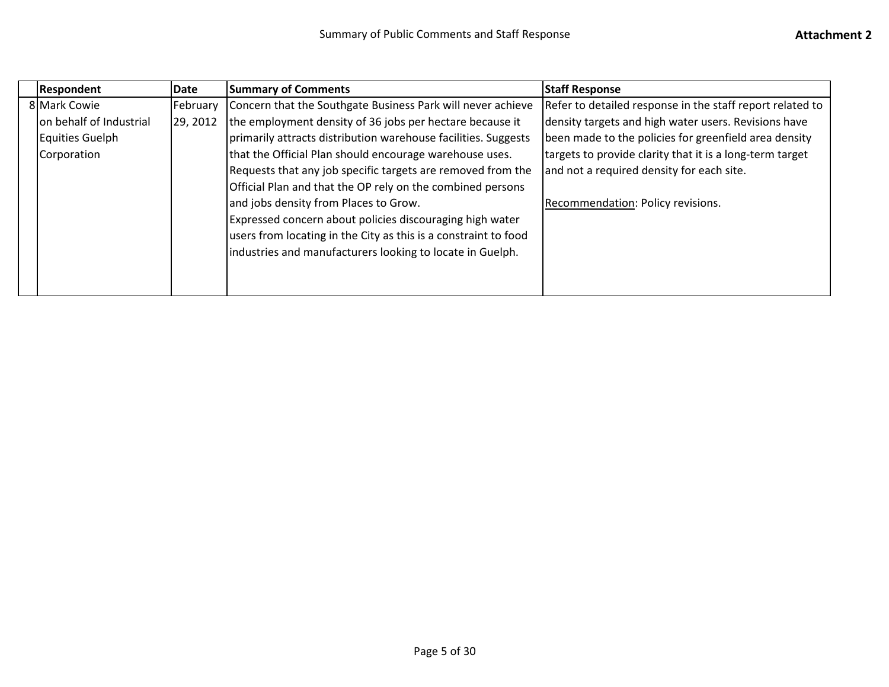| Respondent              | Date     | <b>Summary of Comments</b>                                      | <b>Staff Response</b>                                     |
|-------------------------|----------|-----------------------------------------------------------------|-----------------------------------------------------------|
| 8 Mark Cowie            | February | Concern that the Southgate Business Park will never achieve     | Refer to detailed response in the staff report related to |
| on behalf of Industrial | 29, 2012 | the employment density of 36 jobs per hectare because it        | density targets and high water users. Revisions have      |
| Equities Guelph         |          | primarily attracts distribution warehouse facilities. Suggests  | been made to the policies for greenfield area density     |
| Corporation             |          | that the Official Plan should encourage warehouse uses.         | targets to provide clarity that it is a long-term target  |
|                         |          | Requests that any job specific targets are removed from the     | and not a required density for each site.                 |
|                         |          | Official Plan and that the OP rely on the combined persons      |                                                           |
|                         |          | and jobs density from Places to Grow.                           | Recommendation: Policy revisions.                         |
|                         |          | Expressed concern about policies discouraging high water        |                                                           |
|                         |          | users from locating in the City as this is a constraint to food |                                                           |
|                         |          | industries and manufacturers looking to locate in Guelph.       |                                                           |
|                         |          |                                                                 |                                                           |
|                         |          |                                                                 |                                                           |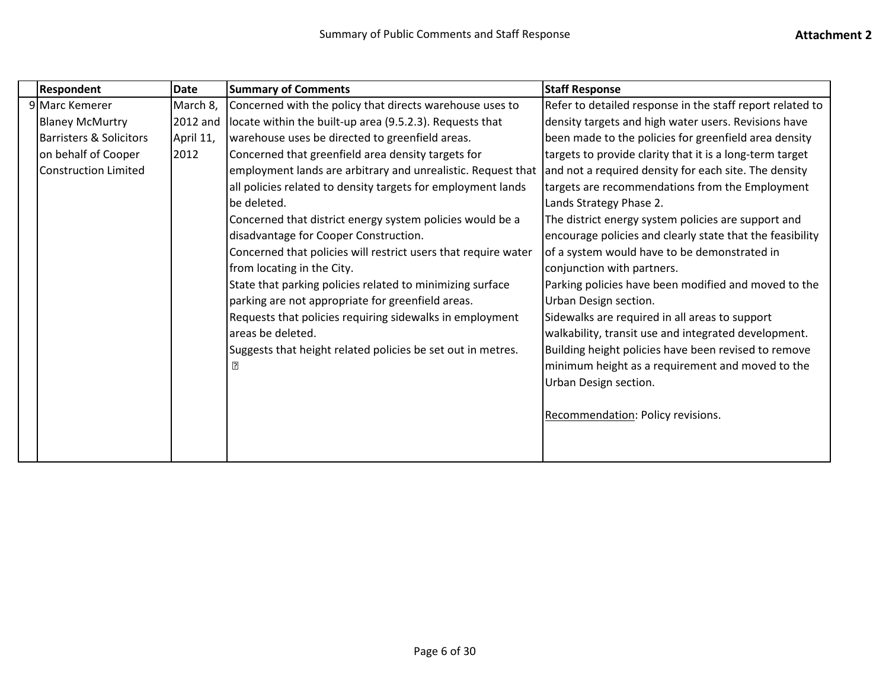|  | <b>Respondent</b>                  | <b>Date</b> | <b>Summary of Comments</b>                                     | <b>Staff Response</b>                                     |
|--|------------------------------------|-------------|----------------------------------------------------------------|-----------------------------------------------------------|
|  | 9 Marc Kemerer                     | March 8,    | Concerned with the policy that directs warehouse uses to       | Refer to detailed response in the staff report related to |
|  | <b>Blaney McMurtry</b>             | 2012 and    | locate within the built-up area (9.5.2.3). Requests that       | density targets and high water users. Revisions have      |
|  | <b>Barristers &amp; Solicitors</b> | April 11,   | warehouse uses be directed to greenfield areas.                | been made to the policies for greenfield area density     |
|  | on behalf of Cooper                | 2012        | Concerned that greenfield area density targets for             | targets to provide clarity that it is a long-term target  |
|  | <b>Construction Limited</b>        |             | employment lands are arbitrary and unrealistic. Request that   | and not a required density for each site. The density     |
|  |                                    |             | all policies related to density targets for employment lands   | targets are recommendations from the Employment           |
|  |                                    |             | be deleted.                                                    | Lands Strategy Phase 2.                                   |
|  |                                    |             | Concerned that district energy system policies would be a      | The district energy system policies are support and       |
|  |                                    |             | disadvantage for Cooper Construction.                          | encourage policies and clearly state that the feasibility |
|  |                                    |             | Concerned that policies will restrict users that require water | of a system would have to be demonstrated in              |
|  |                                    |             | from locating in the City.                                     | conjunction with partners.                                |
|  |                                    |             | State that parking policies related to minimizing surface      | Parking policies have been modified and moved to the      |
|  |                                    |             | parking are not appropriate for greenfield areas.              | Urban Design section.                                     |
|  |                                    |             | Requests that policies requiring sidewalks in employment       | Sidewalks are required in all areas to support            |
|  |                                    |             | areas be deleted.                                              | walkability, transit use and integrated development.      |
|  |                                    |             | Suggests that height related policies be set out in metres.    | Building height policies have been revised to remove      |
|  |                                    |             | $\overline{?}$                                                 | minimum height as a requirement and moved to the          |
|  |                                    |             |                                                                | Urban Design section.                                     |
|  |                                    |             |                                                                |                                                           |
|  |                                    |             |                                                                | Recommendation: Policy revisions.                         |
|  |                                    |             |                                                                |                                                           |
|  |                                    |             |                                                                |                                                           |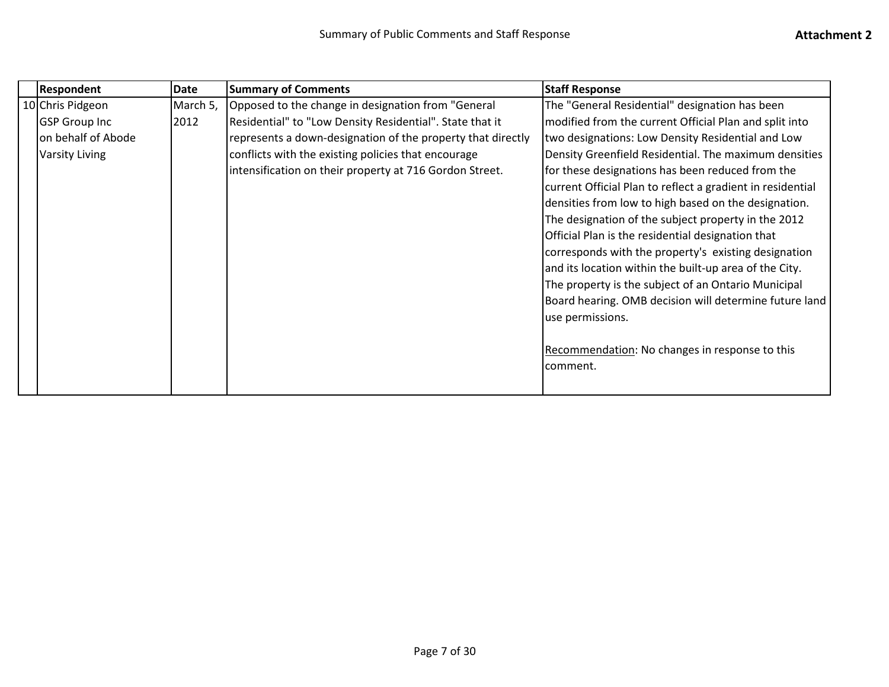| Respondent            | <b>Date</b> | <b>Summary of Comments</b>                                  | <b>Staff Response</b>                                      |
|-----------------------|-------------|-------------------------------------------------------------|------------------------------------------------------------|
| 10 Chris Pidgeon      | March 5,    | Opposed to the change in designation from "General          | The "General Residential" designation has been             |
| <b>GSP Group Inc</b>  | 2012        | Residential" to "Low Density Residential". State that it    | modified from the current Official Plan and split into     |
| on behalf of Abode    |             | represents a down-designation of the property that directly | two designations: Low Density Residential and Low          |
| <b>Varsity Living</b> |             | conflicts with the existing policies that encourage         | Density Greenfield Residential. The maximum densities      |
|                       |             | intensification on their property at 716 Gordon Street.     | for these designations has been reduced from the           |
|                       |             |                                                             | current Official Plan to reflect a gradient in residential |
|                       |             |                                                             | densities from low to high based on the designation.       |
|                       |             |                                                             | The designation of the subject property in the 2012        |
|                       |             |                                                             | Official Plan is the residential designation that          |
|                       |             |                                                             | corresponds with the property's existing designation       |
|                       |             |                                                             | and its location within the built-up area of the City.     |
|                       |             |                                                             | The property is the subject of an Ontario Municipal        |
|                       |             |                                                             | Board hearing. OMB decision will determine future land     |
|                       |             |                                                             | use permissions.                                           |
|                       |             |                                                             |                                                            |
|                       |             |                                                             | Recommendation: No changes in response to this             |
|                       |             |                                                             | comment.                                                   |
|                       |             |                                                             |                                                            |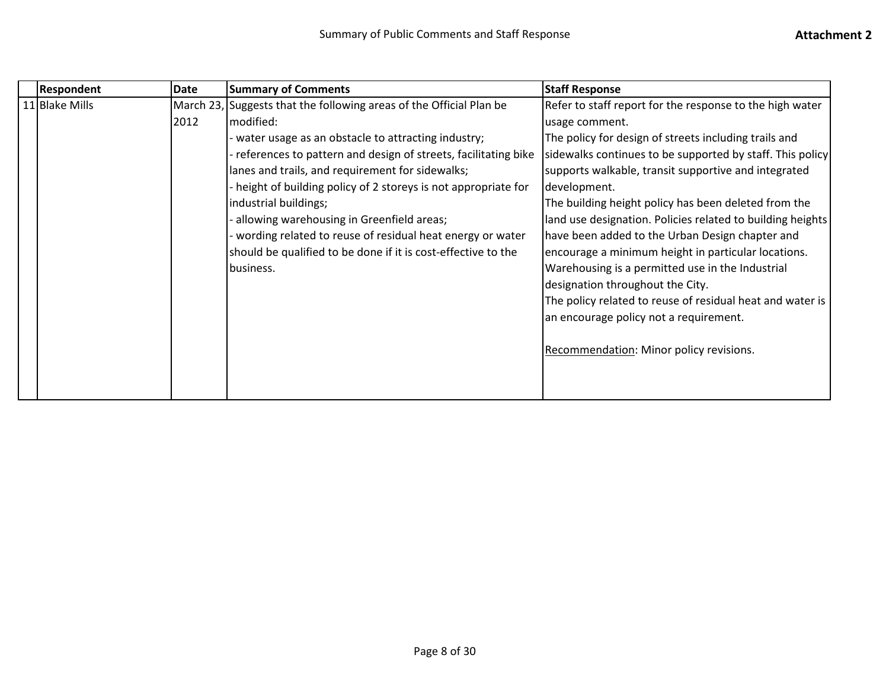| <b>Respondent</b> | Date | <b>Summary of Comments</b>                                          | <b>Staff Response</b>                                      |
|-------------------|------|---------------------------------------------------------------------|------------------------------------------------------------|
| 11 Blake Mills    |      | March 23, Suggests that the following areas of the Official Plan be | Refer to staff report for the response to the high water   |
|                   | 2012 | modified:                                                           | usage comment.                                             |
|                   |      | water usage as an obstacle to attracting industry;                  | The policy for design of streets including trails and      |
|                   |      | references to pattern and design of streets, facilitating bike      | sidewalks continues to be supported by staff. This policy  |
|                   |      | lanes and trails, and requirement for sidewalks;                    | supports walkable, transit supportive and integrated       |
|                   |      | height of building policy of 2 storeys is not appropriate for       | development.                                               |
|                   |      | industrial buildings;                                               | The building height policy has been deleted from the       |
|                   |      | allowing warehousing in Greenfield areas;                           | land use designation. Policies related to building heights |
|                   |      | wording related to reuse of residual heat energy or water           | have been added to the Urban Design chapter and            |
|                   |      | should be qualified to be done if it is cost-effective to the       | encourage a minimum height in particular locations.        |
|                   |      | business.                                                           | Warehousing is a permitted use in the Industrial           |
|                   |      |                                                                     | designation throughout the City.                           |
|                   |      |                                                                     | The policy related to reuse of residual heat and water is  |
|                   |      |                                                                     | an encourage policy not a requirement.                     |
|                   |      |                                                                     |                                                            |
|                   |      |                                                                     | Recommendation: Minor policy revisions.                    |
|                   |      |                                                                     |                                                            |
|                   |      |                                                                     |                                                            |
|                   |      |                                                                     |                                                            |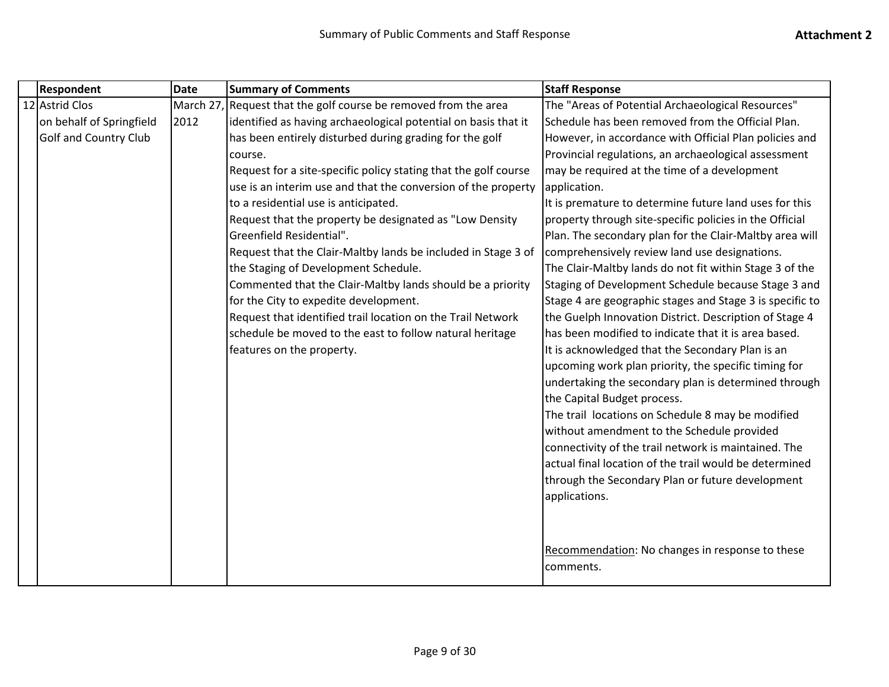| <b>Respondent</b>            | <b>Date</b> | <b>Summary of Comments</b>                                      | <b>Staff Response</b>                                    |
|------------------------------|-------------|-----------------------------------------------------------------|----------------------------------------------------------|
| 12 Astrid Clos               |             | March 27, Request that the golf course be removed from the area | The "Areas of Potential Archaeological Resources"        |
| on behalf of Springfield     | 2012        | identified as having archaeological potential on basis that it  | Schedule has been removed from the Official Plan.        |
| <b>Golf and Country Club</b> |             | has been entirely disturbed during grading for the golf         | However, in accordance with Official Plan policies and   |
|                              |             | course.                                                         | Provincial regulations, an archaeological assessment     |
|                              |             | Request for a site-specific policy stating that the golf course | may be required at the time of a development             |
|                              |             | use is an interim use and that the conversion of the property   | application.                                             |
|                              |             | to a residential use is anticipated.                            | It is premature to determine future land uses for this   |
|                              |             | Request that the property be designated as "Low Density         | property through site-specific policies in the Official  |
|                              |             | Greenfield Residential".                                        | Plan. The secondary plan for the Clair-Maltby area will  |
|                              |             | Request that the Clair-Maltby lands be included in Stage 3 of   | comprehensively review land use designations.            |
|                              |             | the Staging of Development Schedule.                            | The Clair-Maltby lands do not fit within Stage 3 of the  |
|                              |             | Commented that the Clair-Maltby lands should be a priority      | Staging of Development Schedule because Stage 3 and      |
|                              |             | for the City to expedite development.                           | Stage 4 are geographic stages and Stage 3 is specific to |
|                              |             | Request that identified trail location on the Trail Network     | the Guelph Innovation District. Description of Stage 4   |
|                              |             | schedule be moved to the east to follow natural heritage        | has been modified to indicate that it is area based.     |
|                              |             | features on the property.                                       | It is acknowledged that the Secondary Plan is an         |
|                              |             |                                                                 | upcoming work plan priority, the specific timing for     |
|                              |             |                                                                 | undertaking the secondary plan is determined through     |
|                              |             |                                                                 | the Capital Budget process.                              |
|                              |             |                                                                 | The trail locations on Schedule 8 may be modified        |
|                              |             |                                                                 | without amendment to the Schedule provided               |
|                              |             |                                                                 | connectivity of the trail network is maintained. The     |
|                              |             |                                                                 | actual final location of the trail would be determined   |
|                              |             |                                                                 | through the Secondary Plan or future development         |
|                              |             |                                                                 | applications.                                            |
|                              |             |                                                                 |                                                          |
|                              |             |                                                                 |                                                          |
|                              |             |                                                                 | Recommendation: No changes in response to these          |
|                              |             |                                                                 | comments.                                                |
|                              |             |                                                                 |                                                          |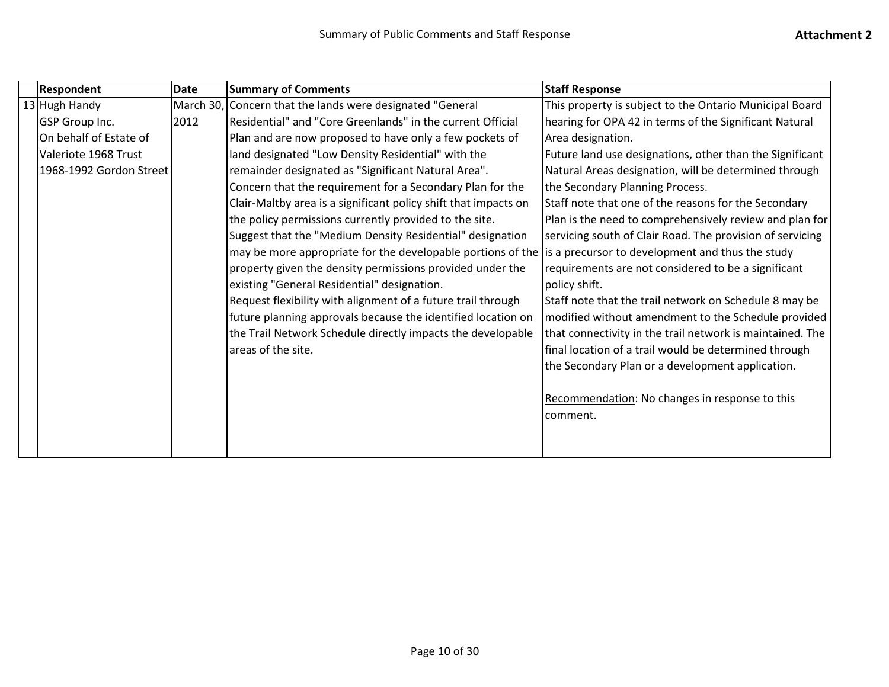|  | <b>Respondent</b>       | Date | <b>Summary of Comments</b>                                      | <b>Staff Response</b>                                     |
|--|-------------------------|------|-----------------------------------------------------------------|-----------------------------------------------------------|
|  | 13 Hugh Handy           |      | March 30, Concern that the lands were designated "General       | This property is subject to the Ontario Municipal Board   |
|  | GSP Group Inc.          | 2012 | Residential" and "Core Greenlands" in the current Official      | hearing for OPA 42 in terms of the Significant Natural    |
|  | On behalf of Estate of  |      | Plan and are now proposed to have only a few pockets of         | Area designation.                                         |
|  | Valeriote 1968 Trust    |      | land designated "Low Density Residential" with the              | Future land use designations, other than the Significant  |
|  | 1968-1992 Gordon Street |      | remainder designated as "Significant Natural Area".             | Natural Areas designation, will be determined through     |
|  |                         |      | Concern that the requirement for a Secondary Plan for the       | the Secondary Planning Process.                           |
|  |                         |      | Clair-Maltby area is a significant policy shift that impacts on | Staff note that one of the reasons for the Secondary      |
|  |                         |      | the policy permissions currently provided to the site.          | Plan is the need to comprehensively review and plan for   |
|  |                         |      | Suggest that the "Medium Density Residential" designation       | servicing south of Clair Road. The provision of servicing |
|  |                         |      | may be more appropriate for the developable portions of the     | is a precursor to development and thus the study          |
|  |                         |      | property given the density permissions provided under the       | requirements are not considered to be a significant       |
|  |                         |      | existing "General Residential" designation.                     | policy shift.                                             |
|  |                         |      | Request flexibility with alignment of a future trail through    | Staff note that the trail network on Schedule 8 may be    |
|  |                         |      | future planning approvals because the identified location on    | modified without amendment to the Schedule provided       |
|  |                         |      | the Trail Network Schedule directly impacts the developable     | that connectivity in the trail network is maintained. The |
|  |                         |      | areas of the site.                                              | final location of a trail would be determined through     |
|  |                         |      |                                                                 | the Secondary Plan or a development application.          |
|  |                         |      |                                                                 |                                                           |
|  |                         |      |                                                                 | Recommendation: No changes in response to this            |
|  |                         |      |                                                                 | comment.                                                  |
|  |                         |      |                                                                 |                                                           |
|  |                         |      |                                                                 |                                                           |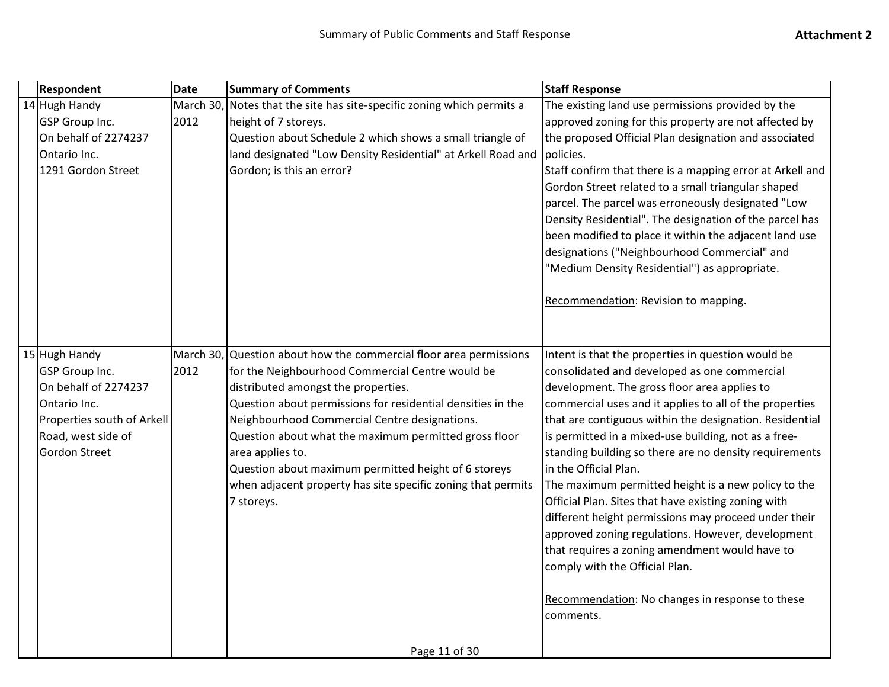|  | Respondent                                                                                                                                                 | Date              | <b>Summary of Comments</b>                                                                                                                                                                                                                                                                                                                                                                                                                                                                       | <b>Staff Response</b>                                                                                                                                                                                                                                                                                                                                                                                                                                                                                                                                                                                                                                                                                                                                                                              |
|--|------------------------------------------------------------------------------------------------------------------------------------------------------------|-------------------|--------------------------------------------------------------------------------------------------------------------------------------------------------------------------------------------------------------------------------------------------------------------------------------------------------------------------------------------------------------------------------------------------------------------------------------------------------------------------------------------------|----------------------------------------------------------------------------------------------------------------------------------------------------------------------------------------------------------------------------------------------------------------------------------------------------------------------------------------------------------------------------------------------------------------------------------------------------------------------------------------------------------------------------------------------------------------------------------------------------------------------------------------------------------------------------------------------------------------------------------------------------------------------------------------------------|
|  | 14 Hugh Handy<br><b>GSP Group Inc.</b><br>On behalf of 2274237<br>Ontario Inc.<br>1291 Gordon Street                                                       | March 30,<br>2012 | Notes that the site has site-specific zoning which permits a<br>height of 7 storeys.<br>Question about Schedule 2 which shows a small triangle of<br>land designated "Low Density Residential" at Arkell Road and<br>Gordon; is this an error?                                                                                                                                                                                                                                                   | The existing land use permissions provided by the<br>approved zoning for this property are not affected by<br>the proposed Official Plan designation and associated<br>policies.<br>Staff confirm that there is a mapping error at Arkell and<br>Gordon Street related to a small triangular shaped<br>parcel. The parcel was erroneously designated "Low<br>Density Residential". The designation of the parcel has<br>been modified to place it within the adjacent land use<br>designations ("Neighbourhood Commercial" and<br>"Medium Density Residential") as appropriate.<br>Recommendation: Revision to mapping.                                                                                                                                                                            |
|  | 15 Hugh Handy<br><b>GSP</b> Group Inc.<br>On behalf of 2274237<br>Ontario Inc.<br>Properties south of Arkell<br>Road, west side of<br><b>Gordon Street</b> | 2012              | March 30, Question about how the commercial floor area permissions<br>for the Neighbourhood Commercial Centre would be<br>distributed amongst the properties.<br>Question about permissions for residential densities in the<br>Neighbourhood Commercial Centre designations.<br>Question about what the maximum permitted gross floor<br>area applies to.<br>Question about maximum permitted height of 6 storeys<br>when adjacent property has site specific zoning that permits<br>7 storeys. | Intent is that the properties in question would be<br>consolidated and developed as one commercial<br>development. The gross floor area applies to<br>commercial uses and it applies to all of the properties<br>that are contiguous within the designation. Residential<br>is permitted in a mixed-use building, not as a free-<br>standing building so there are no density requirements<br>in the Official Plan.<br>The maximum permitted height is a new policy to the<br>Official Plan. Sites that have existing zoning with<br>different height permissions may proceed under their<br>approved zoning regulations. However, development<br>that requires a zoning amendment would have to<br>comply with the Official Plan.<br>Recommendation: No changes in response to these<br>comments. |
|  |                                                                                                                                                            |                   | Page 11 of 30                                                                                                                                                                                                                                                                                                                                                                                                                                                                                    |                                                                                                                                                                                                                                                                                                                                                                                                                                                                                                                                                                                                                                                                                                                                                                                                    |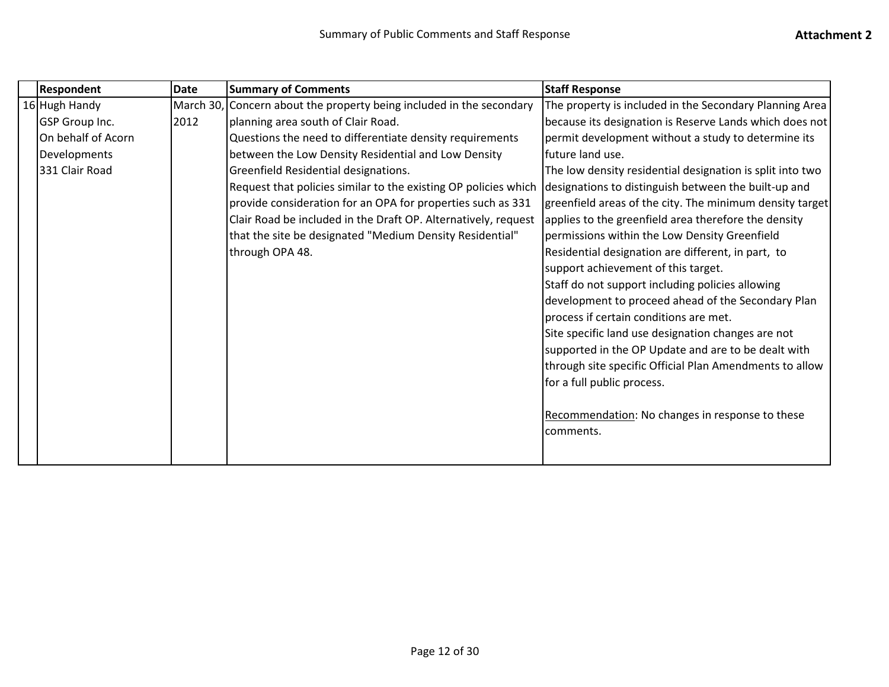| <b>Respondent</b>  | <b>Date</b> | <b>Summary of Comments</b>                                           | <b>Staff Response</b>                                     |
|--------------------|-------------|----------------------------------------------------------------------|-----------------------------------------------------------|
| 16 Hugh Handy      |             | March 30, Concern about the property being included in the secondary | The property is included in the Secondary Planning Area   |
| GSP Group Inc.     | 2012        | planning area south of Clair Road.                                   | because its designation is Reserve Lands which does not   |
| On behalf of Acorn |             | Questions the need to differentiate density requirements             | permit development without a study to determine its       |
| Developments       |             | between the Low Density Residential and Low Density                  | future land use.                                          |
| 331 Clair Road     |             | Greenfield Residential designations.                                 | The low density residential designation is split into two |
|                    |             | Request that policies similar to the existing OP policies which      | designations to distinguish between the built-up and      |
|                    |             | provide consideration for an OPA for properties such as 331          | greenfield areas of the city. The minimum density target  |
|                    |             | Clair Road be included in the Draft OP. Alternatively, request       | applies to the greenfield area therefore the density      |
|                    |             | that the site be designated "Medium Density Residential"             | permissions within the Low Density Greenfield             |
|                    |             | through OPA 48.                                                      | Residential designation are different, in part, to        |
|                    |             |                                                                      | support achievement of this target.                       |
|                    |             |                                                                      | Staff do not support including policies allowing          |
|                    |             |                                                                      | development to proceed ahead of the Secondary Plan        |
|                    |             |                                                                      | process if certain conditions are met.                    |
|                    |             |                                                                      | Site specific land use designation changes are not        |
|                    |             |                                                                      | supported in the OP Update and are to be dealt with       |
|                    |             |                                                                      | through site specific Official Plan Amendments to allow   |
|                    |             |                                                                      | for a full public process.                                |
|                    |             |                                                                      |                                                           |
|                    |             |                                                                      | Recommendation: No changes in response to these           |
|                    |             |                                                                      | comments.                                                 |
|                    |             |                                                                      |                                                           |
|                    |             |                                                                      |                                                           |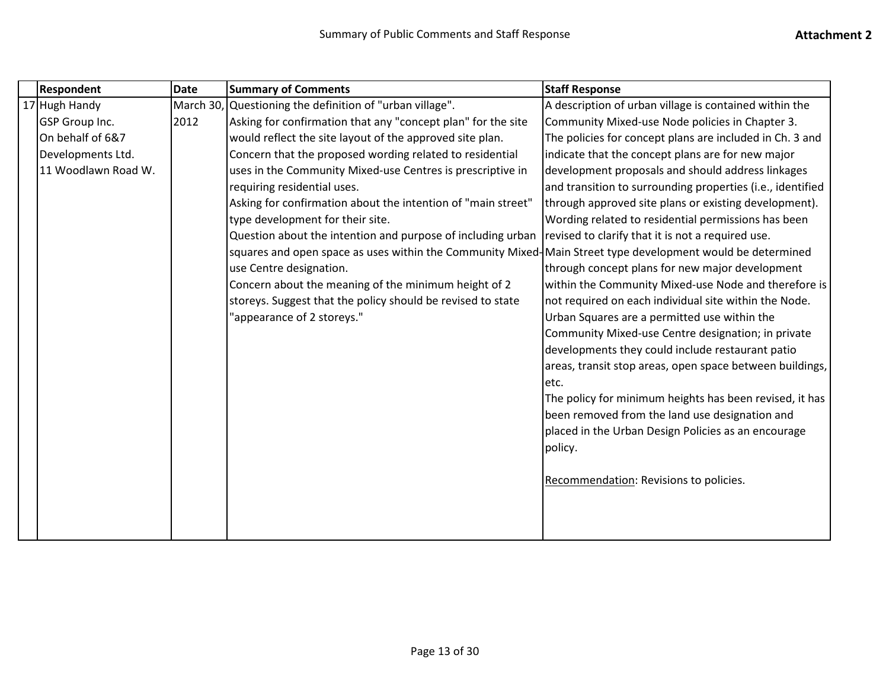| Respondent          | <b>Date</b> | <b>Summary of Comments</b>                                                                                 | <b>Staff Response</b>                                      |
|---------------------|-------------|------------------------------------------------------------------------------------------------------------|------------------------------------------------------------|
| 17 Hugh Handy       |             | March 30, Questioning the definition of "urban village".                                                   | A description of urban village is contained within the     |
| GSP Group Inc.      | 2012        | Asking for confirmation that any "concept plan" for the site                                               | Community Mixed-use Node policies in Chapter 3.            |
| On behalf of 6&7    |             | would reflect the site layout of the approved site plan.                                                   | The policies for concept plans are included in Ch. 3 and   |
| Developments Ltd.   |             | Concern that the proposed wording related to residential                                                   | indicate that the concept plans are for new major          |
| 11 Woodlawn Road W. |             | uses in the Community Mixed-use Centres is prescriptive in                                                 | development proposals and should address linkages          |
|                     |             | requiring residential uses.                                                                                | and transition to surrounding properties (i.e., identified |
|                     |             | Asking for confirmation about the intention of "main street"                                               | through approved site plans or existing development).      |
|                     |             | type development for their site.                                                                           | Wording related to residential permissions has been        |
|                     |             | Question about the intention and purpose of including urban                                                | revised to clarify that it is not a required use.          |
|                     |             | squares and open space as uses within the Community Mixed-Main Street type development would be determined |                                                            |
|                     |             | use Centre designation.                                                                                    | through concept plans for new major development            |
|                     |             | Concern about the meaning of the minimum height of 2                                                       | within the Community Mixed-use Node and therefore is       |
|                     |             | storeys. Suggest that the policy should be revised to state                                                | not required on each individual site within the Node.      |
|                     |             | "appearance of 2 storeys."                                                                                 | Urban Squares are a permitted use within the               |
|                     |             |                                                                                                            | Community Mixed-use Centre designation; in private         |
|                     |             |                                                                                                            | developments they could include restaurant patio           |
|                     |             |                                                                                                            | areas, transit stop areas, open space between buildings,   |
|                     |             |                                                                                                            | etc.                                                       |
|                     |             |                                                                                                            | The policy for minimum heights has been revised, it has    |
|                     |             |                                                                                                            | been removed from the land use designation and             |
|                     |             |                                                                                                            | placed in the Urban Design Policies as an encourage        |
|                     |             |                                                                                                            | policy.                                                    |
|                     |             |                                                                                                            |                                                            |
|                     |             |                                                                                                            | Recommendation: Revisions to policies.                     |
|                     |             |                                                                                                            |                                                            |
|                     |             |                                                                                                            |                                                            |
|                     |             |                                                                                                            |                                                            |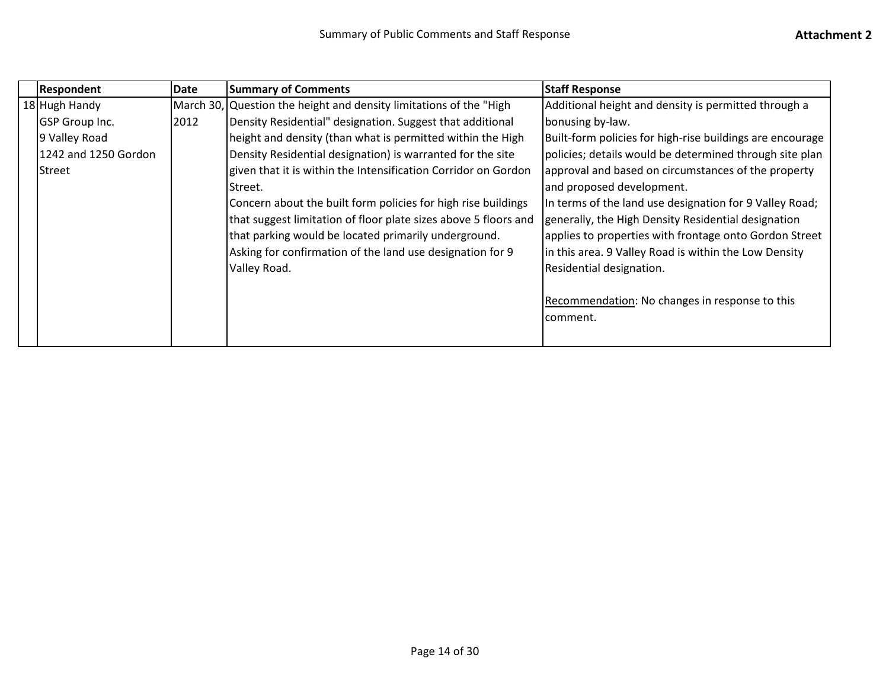| <b>Respondent</b>     | Date | <b>Summary of Comments</b>                                         | <b>Staff Response</b>                                     |
|-----------------------|------|--------------------------------------------------------------------|-----------------------------------------------------------|
| 18 Hugh Handy         |      | March 30, Question the height and density limitations of the "High | Additional height and density is permitted through a      |
| <b>GSP</b> Group Inc. | 2012 | Density Residential" designation. Suggest that additional          | bonusing by-law.                                          |
| 9 Valley Road         |      | height and density (than what is permitted within the High         | Built-form policies for high-rise buildings are encourage |
| 1242 and 1250 Gordon  |      | Density Residential designation) is warranted for the site         | policies; details would be determined through site plan   |
| l Street              |      | given that it is within the Intensification Corridor on Gordon     | approval and based on circumstances of the property       |
|                       |      | Street.                                                            | and proposed development.                                 |
|                       |      | Concern about the built form policies for high rise buildings      | In terms of the land use designation for 9 Valley Road;   |
|                       |      | that suggest limitation of floor plate sizes above 5 floors and    | generally, the High Density Residential designation       |
|                       |      | that parking would be located primarily underground.               | applies to properties with frontage onto Gordon Street    |
|                       |      | Asking for confirmation of the land use designation for 9          | in this area. 9 Valley Road is within the Low Density     |
|                       |      | Valley Road.                                                       | Residential designation.                                  |
|                       |      |                                                                    |                                                           |
|                       |      |                                                                    | Recommendation: No changes in response to this            |
|                       |      |                                                                    | comment.                                                  |
|                       |      |                                                                    |                                                           |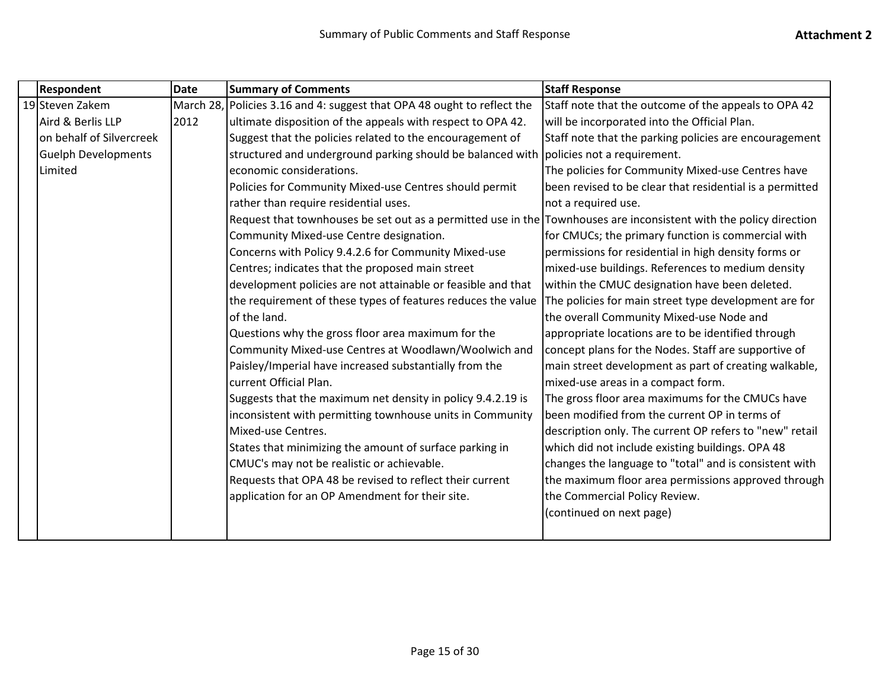| <b>Respondent</b>          | <b>Date</b> | <b>Summary of Comments</b>                                                                                         | <b>Staff Response</b>                                    |
|----------------------------|-------------|--------------------------------------------------------------------------------------------------------------------|----------------------------------------------------------|
| 19 Steven Zakem            | March 28,   | Policies 3.16 and 4: suggest that OPA 48 ought to reflect the                                                      | Staff note that the outcome of the appeals to OPA 42     |
| Aird & Berlis LLP          | 2012        | ultimate disposition of the appeals with respect to OPA 42.                                                        | will be incorporated into the Official Plan.             |
| on behalf of Silvercreek   |             | Suggest that the policies related to the encouragement of                                                          | Staff note that the parking policies are encouragement   |
| <b>Guelph Developments</b> |             | structured and underground parking should be balanced with                                                         | policies not a requirement.                              |
| Limited                    |             | economic considerations.                                                                                           | The policies for Community Mixed-use Centres have        |
|                            |             | Policies for Community Mixed-use Centres should permit                                                             | been revised to be clear that residential is a permitted |
|                            |             | rather than require residential uses.                                                                              | not a required use.                                      |
|                            |             | Request that townhouses be set out as a permitted use in the Townhouses are inconsistent with the policy direction |                                                          |
|                            |             | Community Mixed-use Centre designation.                                                                            | for CMUCs; the primary function is commercial with       |
|                            |             | Concerns with Policy 9.4.2.6 for Community Mixed-use                                                               | permissions for residential in high density forms or     |
|                            |             | Centres; indicates that the proposed main street                                                                   | mixed-use buildings. References to medium density        |
|                            |             | development policies are not attainable or feasible and that                                                       | within the CMUC designation have been deleted.           |
|                            |             | the requirement of these types of features reduces the value                                                       | The policies for main street type development are for    |
|                            |             | of the land.                                                                                                       | the overall Community Mixed-use Node and                 |
|                            |             | Questions why the gross floor area maximum for the                                                                 | appropriate locations are to be identified through       |
|                            |             | Community Mixed-use Centres at Woodlawn/Woolwich and                                                               | concept plans for the Nodes. Staff are supportive of     |
|                            |             | Paisley/Imperial have increased substantially from the                                                             | main street development as part of creating walkable,    |
|                            |             | current Official Plan.                                                                                             | mixed-use areas in a compact form.                       |
|                            |             | Suggests that the maximum net density in policy 9.4.2.19 is                                                        | The gross floor area maximums for the CMUCs have         |
|                            |             | inconsistent with permitting townhouse units in Community                                                          | been modified from the current OP in terms of            |
|                            |             | Mixed-use Centres.                                                                                                 | description only. The current OP refers to "new" retail  |
|                            |             | States that minimizing the amount of surface parking in                                                            | which did not include existing buildings. OPA 48         |
|                            |             | CMUC's may not be realistic or achievable.                                                                         | changes the language to "total" and is consistent with   |
|                            |             | Requests that OPA 48 be revised to reflect their current                                                           | the maximum floor area permissions approved through      |
|                            |             | application for an OP Amendment for their site.                                                                    | the Commercial Policy Review.                            |
|                            |             |                                                                                                                    | (continued on next page)                                 |
|                            |             |                                                                                                                    |                                                          |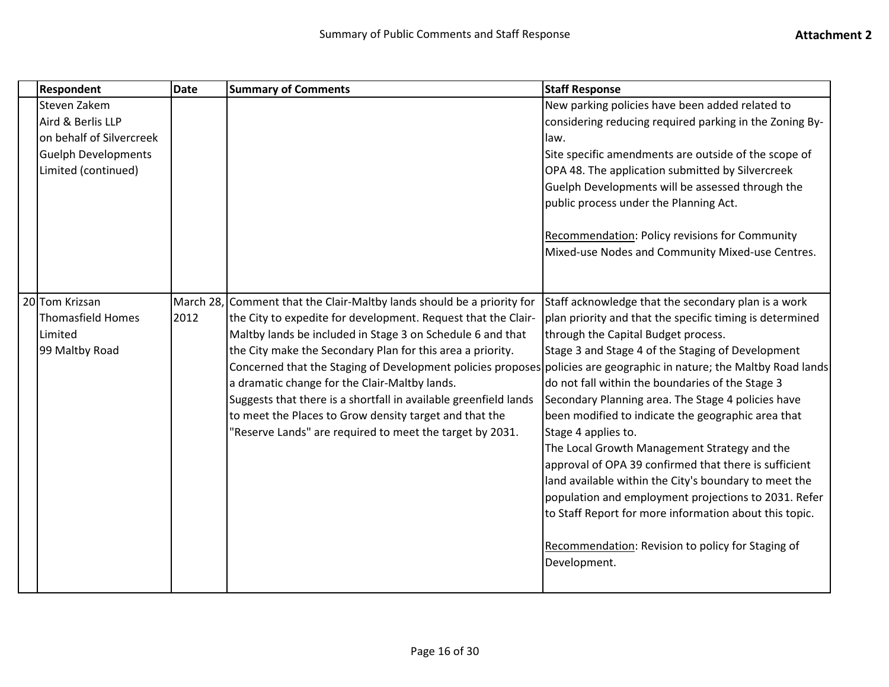| <b>Respondent</b>          | <b>Date</b> | <b>Summary of Comments</b>                                                                                           | <b>Staff Response</b>                                    |
|----------------------------|-------------|----------------------------------------------------------------------------------------------------------------------|----------------------------------------------------------|
| Steven Zakem               |             |                                                                                                                      | New parking policies have been added related to          |
| Aird & Berlis LLP          |             |                                                                                                                      | considering reducing required parking in the Zoning By-  |
| on behalf of Silvercreek   |             |                                                                                                                      | law.                                                     |
| <b>Guelph Developments</b> |             |                                                                                                                      | Site specific amendments are outside of the scope of     |
| Limited (continued)        |             |                                                                                                                      | OPA 48. The application submitted by Silvercreek         |
|                            |             |                                                                                                                      | Guelph Developments will be assessed through the         |
|                            |             |                                                                                                                      | public process under the Planning Act.                   |
|                            |             |                                                                                                                      | Recommendation: Policy revisions for Community           |
|                            |             |                                                                                                                      | Mixed-use Nodes and Community Mixed-use Centres.         |
|                            |             |                                                                                                                      |                                                          |
| 20 Tom Krizsan             |             | March 28, Comment that the Clair-Maltby lands should be a priority for                                               | Staff acknowledge that the secondary plan is a work      |
| <b>Thomasfield Homes</b>   | 2012        | the City to expedite for development. Request that the Clair-                                                        | plan priority and that the specific timing is determined |
| Limited                    |             | Maltby lands be included in Stage 3 on Schedule 6 and that                                                           | through the Capital Budget process.                      |
| 99 Maltby Road             |             | the City make the Secondary Plan for this area a priority.                                                           | Stage 3 and Stage 4 of the Staging of Development        |
|                            |             | Concerned that the Staging of Development policies proposes policies are geographic in nature; the Maltby Road lands |                                                          |
|                            |             | a dramatic change for the Clair-Maltby lands.                                                                        | do not fall within the boundaries of the Stage 3         |
|                            |             | Suggests that there is a shortfall in available greenfield lands                                                     | Secondary Planning area. The Stage 4 policies have       |
|                            |             | to meet the Places to Grow density target and that the                                                               | been modified to indicate the geographic area that       |
|                            |             | "Reserve Lands" are required to meet the target by 2031.                                                             | Stage 4 applies to.                                      |
|                            |             |                                                                                                                      | The Local Growth Management Strategy and the             |
|                            |             |                                                                                                                      | approval of OPA 39 confirmed that there is sufficient    |
|                            |             |                                                                                                                      | land available within the City's boundary to meet the    |
|                            |             |                                                                                                                      | population and employment projections to 2031. Refer     |
|                            |             |                                                                                                                      | to Staff Report for more information about this topic.   |
|                            |             |                                                                                                                      | Recommendation: Revision to policy for Staging of        |
|                            |             |                                                                                                                      | Development.                                             |
|                            |             |                                                                                                                      |                                                          |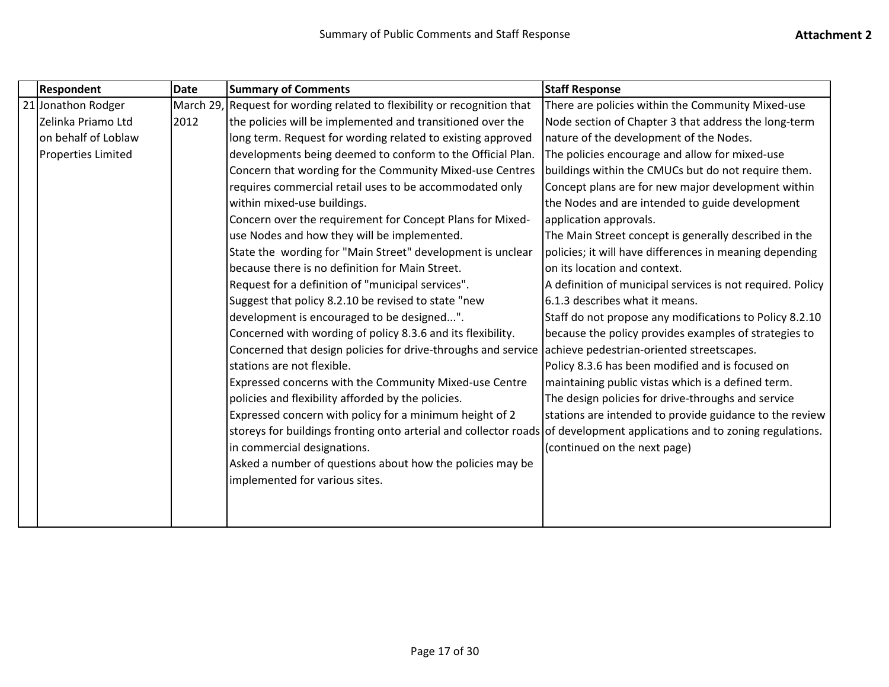| Respondent          | <b>Date</b> | <b>Summary of Comments</b>                                                                                              | <b>Staff Response</b>                                      |
|---------------------|-------------|-------------------------------------------------------------------------------------------------------------------------|------------------------------------------------------------|
| 21 Jonathon Rodger  | March 29,   | Request for wording related to flexibility or recognition that                                                          | There are policies within the Community Mixed-use          |
| Zelinka Priamo Ltd  | 2012        | the policies will be implemented and transitioned over the                                                              | Node section of Chapter 3 that address the long-term       |
| on behalf of Loblaw |             | long term. Request for wording related to existing approved                                                             | nature of the development of the Nodes.                    |
| Properties Limited  |             | developments being deemed to conform to the Official Plan.                                                              | The policies encourage and allow for mixed-use             |
|                     |             | Concern that wording for the Community Mixed-use Centres                                                                | buildings within the CMUCs but do not require them.        |
|                     |             | requires commercial retail uses to be accommodated only                                                                 | Concept plans are for new major development within         |
|                     |             | within mixed-use buildings.                                                                                             | the Nodes and are intended to guide development            |
|                     |             | Concern over the requirement for Concept Plans for Mixed-                                                               | application approvals.                                     |
|                     |             | use Nodes and how they will be implemented.                                                                             | The Main Street concept is generally described in the      |
|                     |             | State the wording for "Main Street" development is unclear                                                              | policies; it will have differences in meaning depending    |
|                     |             | because there is no definition for Main Street.                                                                         | on its location and context.                               |
|                     |             | Request for a definition of "municipal services".                                                                       | A definition of municipal services is not required. Policy |
|                     |             | Suggest that policy 8.2.10 be revised to state "new                                                                     | 6.1.3 describes what it means.                             |
|                     |             | development is encouraged to be designed".                                                                              | Staff do not propose any modifications to Policy 8.2.10    |
|                     |             | Concerned with wording of policy 8.3.6 and its flexibility.                                                             | because the policy provides examples of strategies to      |
|                     |             | Concerned that design policies for drive-throughs and service                                                           | achieve pedestrian-oriented streetscapes.                  |
|                     |             | stations are not flexible.                                                                                              | Policy 8.3.6 has been modified and is focused on           |
|                     |             | Expressed concerns with the Community Mixed-use Centre                                                                  | maintaining public vistas which is a defined term.         |
|                     |             | policies and flexibility afforded by the policies.                                                                      | The design policies for drive-throughs and service         |
|                     |             | Expressed concern with policy for a minimum height of 2                                                                 | stations are intended to provide guidance to the review    |
|                     |             | storeys for buildings fronting onto arterial and collector roads of development applications and to zoning regulations. |                                                            |
|                     |             | in commercial designations.                                                                                             | (continued on the next page)                               |
|                     |             | Asked a number of questions about how the policies may be                                                               |                                                            |
|                     |             | implemented for various sites.                                                                                          |                                                            |
|                     |             |                                                                                                                         |                                                            |
|                     |             |                                                                                                                         |                                                            |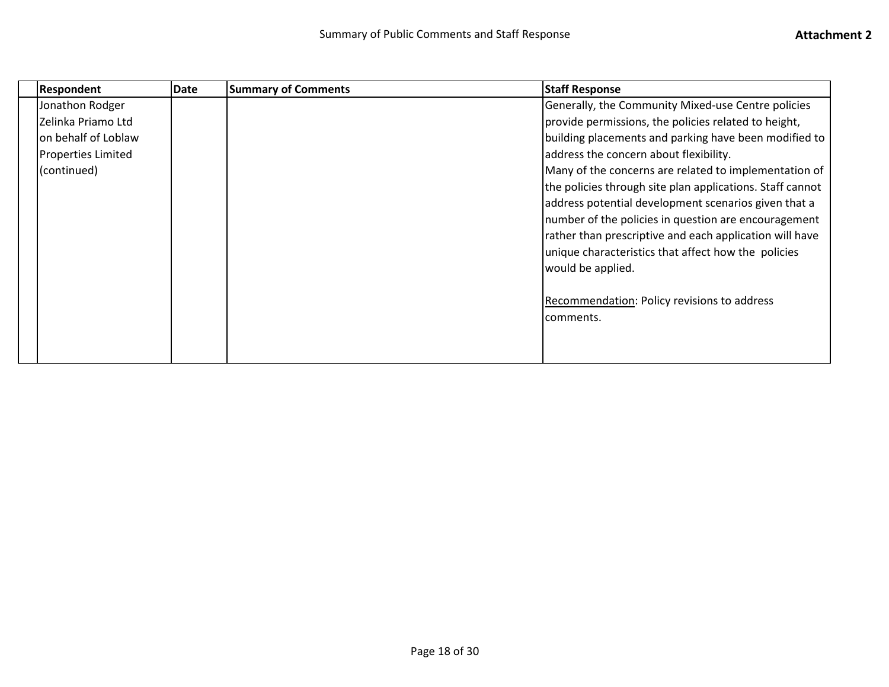| <b>Respondent</b>         | Date | <b>Summary of Comments</b> | <b>Staff Response</b>                                     |
|---------------------------|------|----------------------------|-----------------------------------------------------------|
| Jonathon Rodger           |      |                            | Generally, the Community Mixed-use Centre policies        |
| Zelinka Priamo Ltd        |      |                            | provide permissions, the policies related to height,      |
| on behalf of Loblaw       |      |                            | building placements and parking have been modified to     |
| <b>Properties Limited</b> |      |                            | address the concern about flexibility.                    |
| (continued)               |      |                            | Many of the concerns are related to implementation of     |
|                           |      |                            | the policies through site plan applications. Staff cannot |
|                           |      |                            | address potential development scenarios given that a      |
|                           |      |                            | number of the policies in question are encouragement      |
|                           |      |                            | rather than prescriptive and each application will have   |
|                           |      |                            | unique characteristics that affect how the policies       |
|                           |      |                            | would be applied.                                         |
|                           |      |                            |                                                           |
|                           |      |                            | Recommendation: Policy revisions to address               |
|                           |      |                            | comments.                                                 |
|                           |      |                            |                                                           |
|                           |      |                            |                                                           |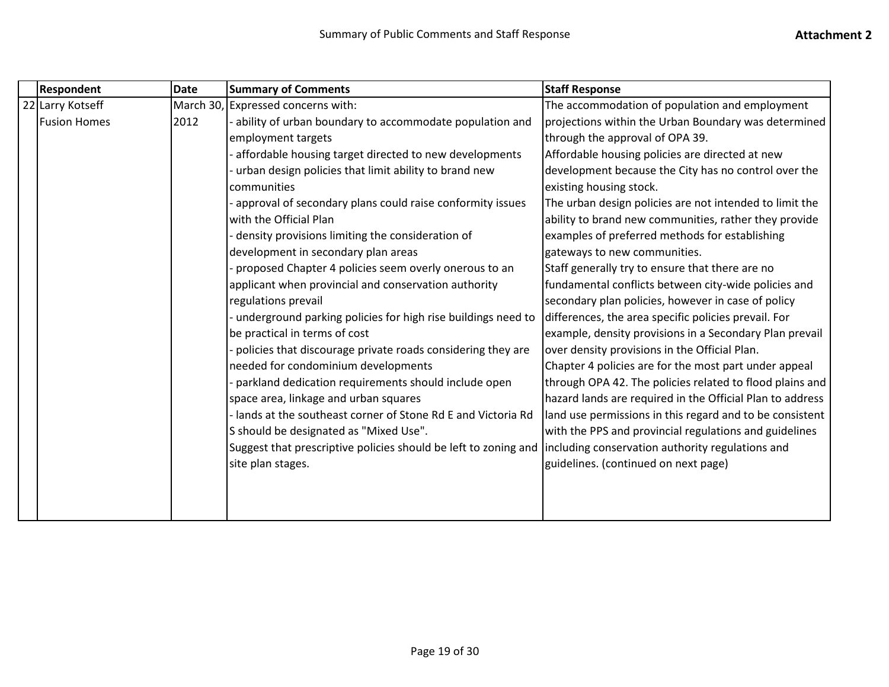| <b>Respondent</b>   | <b>Date</b> | <b>Summary of Comments</b>                                                                                        | <b>Staff Response</b>                                     |
|---------------------|-------------|-------------------------------------------------------------------------------------------------------------------|-----------------------------------------------------------|
| 22 Larry Kotseff    | March 30,   | Expressed concerns with:                                                                                          | The accommodation of population and employment            |
| <b>Fusion Homes</b> | 2012        | ability of urban boundary to accommodate population and                                                           | projections within the Urban Boundary was determined      |
|                     |             | employment targets                                                                                                | through the approval of OPA 39.                           |
|                     |             | affordable housing target directed to new developments                                                            | Affordable housing policies are directed at new           |
|                     |             | urban design policies that limit ability to brand new                                                             | development because the City has no control over the      |
|                     |             | communities                                                                                                       | existing housing stock.                                   |
|                     |             | approval of secondary plans could raise conformity issues                                                         | The urban design policies are not intended to limit the   |
|                     |             | with the Official Plan                                                                                            | ability to brand new communities, rather they provide     |
|                     |             | density provisions limiting the consideration of                                                                  | examples of preferred methods for establishing            |
|                     |             | development in secondary plan areas                                                                               | gateways to new communities.                              |
|                     |             | proposed Chapter 4 policies seem overly onerous to an                                                             | Staff generally try to ensure that there are no           |
|                     |             | applicant when provincial and conservation authority                                                              | fundamental conflicts between city-wide policies and      |
|                     |             | regulations prevail                                                                                               | secondary plan policies, however in case of policy        |
|                     |             | underground parking policies for high rise buildings need to                                                      | differences, the area specific policies prevail. For      |
|                     |             | be practical in terms of cost                                                                                     | example, density provisions in a Secondary Plan prevail   |
|                     |             | policies that discourage private roads considering they are                                                       | over density provisions in the Official Plan.             |
|                     |             | needed for condominium developments                                                                               | Chapter 4 policies are for the most part under appeal     |
|                     |             | parkland dedication requirements should include open                                                              | through OPA 42. The policies related to flood plains and  |
|                     |             | space area, linkage and urban squares                                                                             | hazard lands are required in the Official Plan to address |
|                     |             | lands at the southeast corner of Stone Rd E and Victoria Rd                                                       | land use permissions in this regard and to be consistent  |
|                     |             | S should be designated as "Mixed Use".                                                                            | with the PPS and provincial regulations and guidelines    |
|                     |             | Suggest that prescriptive policies should be left to zoning and lincluding conservation authority regulations and |                                                           |
|                     |             | site plan stages.                                                                                                 | guidelines. (continued on next page)                      |
|                     |             |                                                                                                                   |                                                           |
|                     |             |                                                                                                                   |                                                           |
|                     |             |                                                                                                                   |                                                           |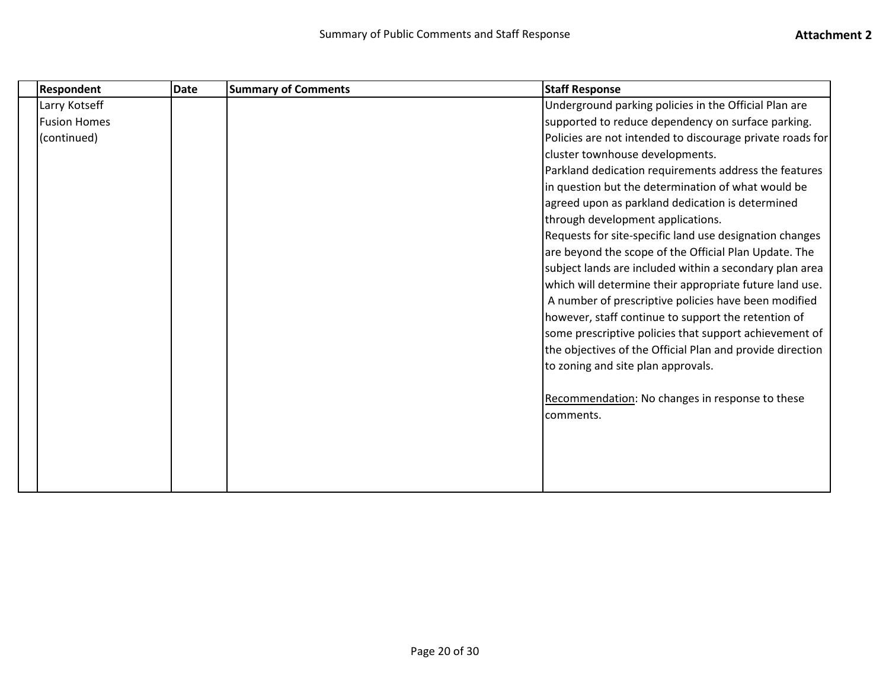| <b>Respondent</b>   | <b>Date</b> | <b>Summary of Comments</b> | <b>Staff Response</b>                                     |
|---------------------|-------------|----------------------------|-----------------------------------------------------------|
| Larry Kotseff       |             |                            | Underground parking policies in the Official Plan are     |
| <b>Fusion Homes</b> |             |                            | supported to reduce dependency on surface parking.        |
| (continued)         |             |                            | Policies are not intended to discourage private roads for |
|                     |             |                            | cluster townhouse developments.                           |
|                     |             |                            | Parkland dedication requirements address the features     |
|                     |             |                            | in question but the determination of what would be        |
|                     |             |                            | agreed upon as parkland dedication is determined          |
|                     |             |                            | through development applications.                         |
|                     |             |                            | Requests for site-specific land use designation changes   |
|                     |             |                            | are beyond the scope of the Official Plan Update. The     |
|                     |             |                            | subject lands are included within a secondary plan area   |
|                     |             |                            | which will determine their appropriate future land use.   |
|                     |             |                            | A number of prescriptive policies have been modified      |
|                     |             |                            | however, staff continue to support the retention of       |
|                     |             |                            | some prescriptive policies that support achievement of    |
|                     |             |                            | the objectives of the Official Plan and provide direction |
|                     |             |                            | to zoning and site plan approvals.                        |
|                     |             |                            | Recommendation: No changes in response to these           |
|                     |             |                            | comments.                                                 |
|                     |             |                            |                                                           |
|                     |             |                            |                                                           |
|                     |             |                            |                                                           |
|                     |             |                            |                                                           |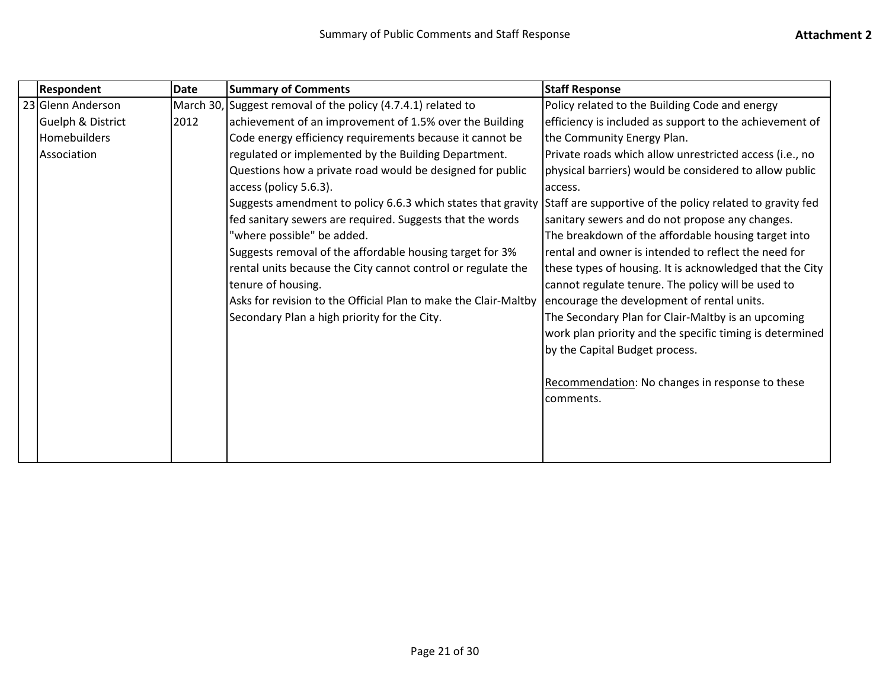| <b>Respondent</b>            | <b>Date</b> | <b>Summary of Comments</b>                                      | <b>Staff Response</b>                                     |
|------------------------------|-------------|-----------------------------------------------------------------|-----------------------------------------------------------|
| 23 Glenn Anderson            |             | March 30, Suggest removal of the policy (4.7.4.1) related to    | Policy related to the Building Code and energy            |
| <b>Guelph &amp; District</b> | 2012        | achievement of an improvement of 1.5% over the Building         | efficiency is included as support to the achievement of   |
| Homebuilders                 |             | Code energy efficiency requirements because it cannot be        | the Community Energy Plan.                                |
| Association                  |             | regulated or implemented by the Building Department.            | Private roads which allow unrestricted access (i.e., no   |
|                              |             | Questions how a private road would be designed for public       | physical barriers) would be considered to allow public    |
|                              |             | access (policy 5.6.3).                                          | access.                                                   |
|                              |             | Suggests amendment to policy 6.6.3 which states that gravity    | Staff are supportive of the policy related to gravity fed |
|                              |             | fed sanitary sewers are required. Suggests that the words       | sanitary sewers and do not propose any changes.           |
|                              |             | 'where possible" be added.                                      | The breakdown of the affordable housing target into       |
|                              |             | Suggests removal of the affordable housing target for 3%        | rental and owner is intended to reflect the need for      |
|                              |             | rental units because the City cannot control or regulate the    | these types of housing. It is acknowledged that the City  |
|                              |             | tenure of housing.                                              | cannot regulate tenure. The policy will be used to        |
|                              |             | Asks for revision to the Official Plan to make the Clair-Maltby | encourage the development of rental units.                |
|                              |             | Secondary Plan a high priority for the City.                    | The Secondary Plan for Clair-Maltby is an upcoming        |
|                              |             |                                                                 | work plan priority and the specific timing is determined  |
|                              |             |                                                                 | by the Capital Budget process.                            |
|                              |             |                                                                 |                                                           |
|                              |             |                                                                 | Recommendation: No changes in response to these           |
|                              |             |                                                                 | comments.                                                 |
|                              |             |                                                                 |                                                           |
|                              |             |                                                                 |                                                           |
|                              |             |                                                                 |                                                           |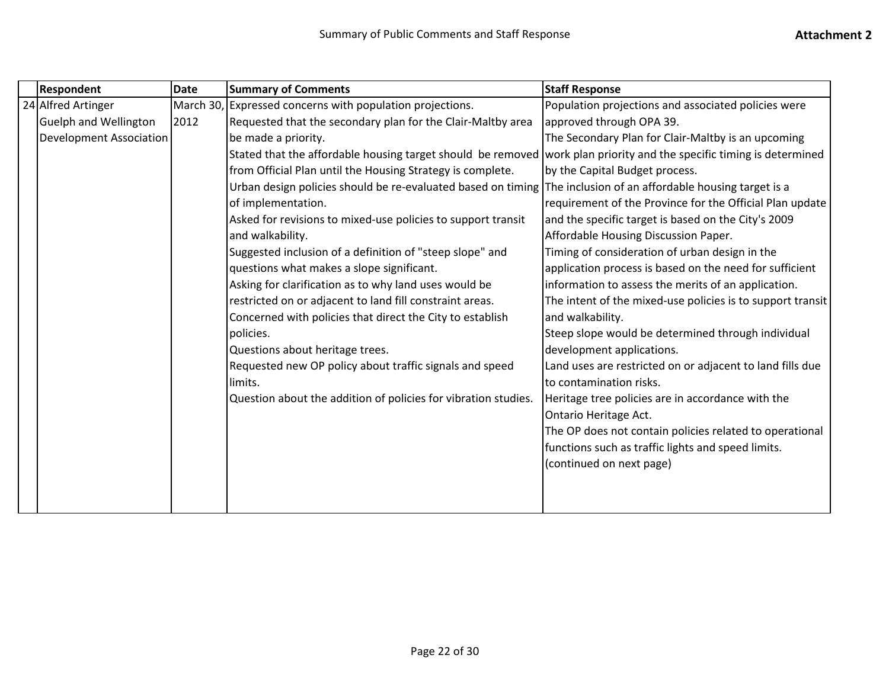| <b>Respondent</b>              | <b>Date</b> | <b>Summary of Comments</b>                                                                                           | <b>Staff Response</b>                                      |
|--------------------------------|-------------|----------------------------------------------------------------------------------------------------------------------|------------------------------------------------------------|
| 24 Alfred Artinger             |             | March 30, Expressed concerns with population projections.                                                            | Population projections and associated policies were        |
| <b>Guelph and Wellington</b>   | 2012        | Requested that the secondary plan for the Clair-Maltby area                                                          | approved through OPA 39.                                   |
| <b>Development Association</b> |             | be made a priority.                                                                                                  | The Secondary Plan for Clair-Maltby is an upcoming         |
|                                |             | Stated that the affordable housing target should be removed work plan priority and the specific timing is determined |                                                            |
|                                |             | from Official Plan until the Housing Strategy is complete.                                                           | by the Capital Budget process.                             |
|                                |             | Urban design policies should be re-evaluated based on timing The inclusion of an affordable housing target is a      |                                                            |
|                                |             | of implementation.                                                                                                   | requirement of the Province for the Official Plan update   |
|                                |             | Asked for revisions to mixed-use policies to support transit                                                         | and the specific target is based on the City's 2009        |
|                                |             | and walkability.                                                                                                     | Affordable Housing Discussion Paper.                       |
|                                |             | Suggested inclusion of a definition of "steep slope" and                                                             | Timing of consideration of urban design in the             |
|                                |             | questions what makes a slope significant.                                                                            | application process is based on the need for sufficient    |
|                                |             | Asking for clarification as to why land uses would be                                                                | information to assess the merits of an application.        |
|                                |             | restricted on or adjacent to land fill constraint areas.                                                             | The intent of the mixed-use policies is to support transit |
|                                |             | Concerned with policies that direct the City to establish                                                            | and walkability.                                           |
|                                |             | policies.                                                                                                            | Steep slope would be determined through individual         |
|                                |             | Questions about heritage trees.                                                                                      | development applications.                                  |
|                                |             | Requested new OP policy about traffic signals and speed                                                              | Land uses are restricted on or adjacent to land fills due  |
|                                |             | limits.                                                                                                              | to contamination risks.                                    |
|                                |             | Question about the addition of policies for vibration studies.                                                       | Heritage tree policies are in accordance with the          |
|                                |             |                                                                                                                      | Ontario Heritage Act.                                      |
|                                |             |                                                                                                                      | The OP does not contain policies related to operational    |
|                                |             |                                                                                                                      | functions such as traffic lights and speed limits.         |
|                                |             |                                                                                                                      | (continued on next page)                                   |
|                                |             |                                                                                                                      |                                                            |
|                                |             |                                                                                                                      |                                                            |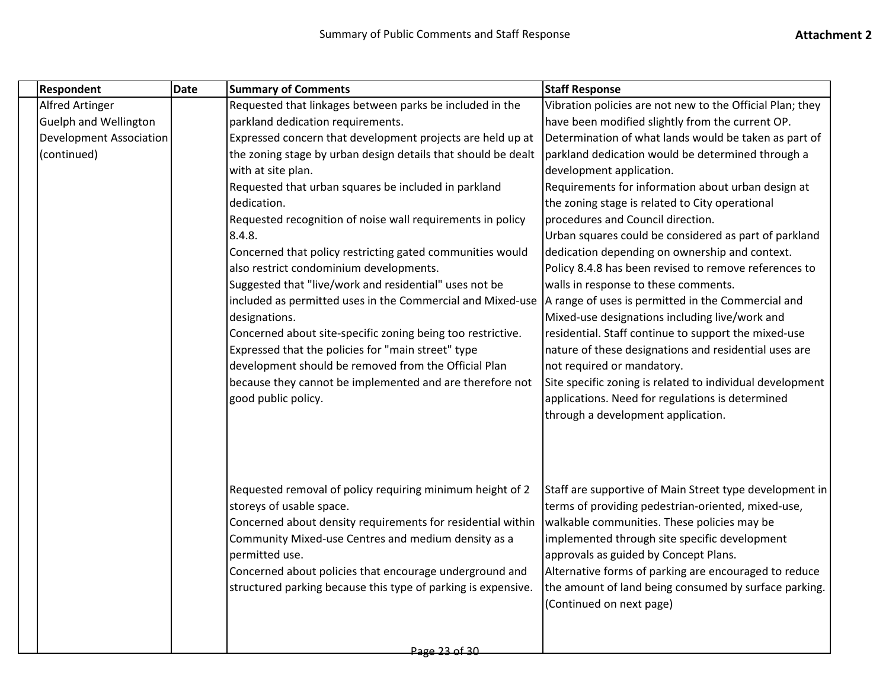| Respondent                     | Date | <b>Summary of Comments</b>                                    | <b>Staff Response</b>                                     |
|--------------------------------|------|---------------------------------------------------------------|-----------------------------------------------------------|
| <b>Alfred Artinger</b>         |      | Requested that linkages between parks be included in the      | Vibration policies are not new to the Official Plan; they |
| <b>Guelph and Wellington</b>   |      | parkland dedication requirements.                             | have been modified slightly from the current OP.          |
| <b>Development Association</b> |      | Expressed concern that development projects are held up at    | Determination of what lands would be taken as part of     |
| (continued)                    |      | the zoning stage by urban design details that should be dealt | parkland dedication would be determined through a         |
|                                |      | with at site plan.                                            | development application.                                  |
|                                |      | Requested that urban squares be included in parkland          | Requirements for information about urban design at        |
|                                |      | dedication.                                                   | the zoning stage is related to City operational           |
|                                |      | Requested recognition of noise wall requirements in policy    | procedures and Council direction.                         |
|                                |      | 8.4.8.                                                        | Urban squares could be considered as part of parkland     |
|                                |      | Concerned that policy restricting gated communities would     | dedication depending on ownership and context.            |
|                                |      | also restrict condominium developments.                       | Policy 8.4.8 has been revised to remove references to     |
|                                |      | Suggested that "live/work and residential" uses not be        | walls in response to these comments.                      |
|                                |      | included as permitted uses in the Commercial and Mixed-use    | A range of uses is permitted in the Commercial and        |
|                                |      | designations.                                                 | Mixed-use designations including live/work and            |
|                                |      | Concerned about site-specific zoning being too restrictive.   | residential. Staff continue to support the mixed-use      |
|                                |      | Expressed that the policies for "main street" type            | nature of these designations and residential uses are     |
|                                |      | development should be removed from the Official Plan          | not required or mandatory.                                |
|                                |      | because they cannot be implemented and are therefore not      | Site specific zoning is related to individual development |
|                                |      | good public policy.                                           | applications. Need for regulations is determined          |
|                                |      |                                                               | through a development application.                        |
|                                |      |                                                               |                                                           |
|                                |      | Requested removal of policy requiring minimum height of 2     | Staff are supportive of Main Street type development in   |
|                                |      | storeys of usable space.                                      | terms of providing pedestrian-oriented, mixed-use,        |
|                                |      | Concerned about density requirements for residential within   | walkable communities. These policies may be               |
|                                |      | Community Mixed-use Centres and medium density as a           | implemented through site specific development             |
|                                |      | permitted use.                                                | approvals as guided by Concept Plans.                     |
|                                |      | Concerned about policies that encourage underground and       | Alternative forms of parking are encouraged to reduce     |
|                                |      | structured parking because this type of parking is expensive. | the amount of land being consumed by surface parking.     |
|                                |      |                                                               | (Continued on next page)                                  |
|                                |      |                                                               |                                                           |
|                                |      |                                                               |                                                           |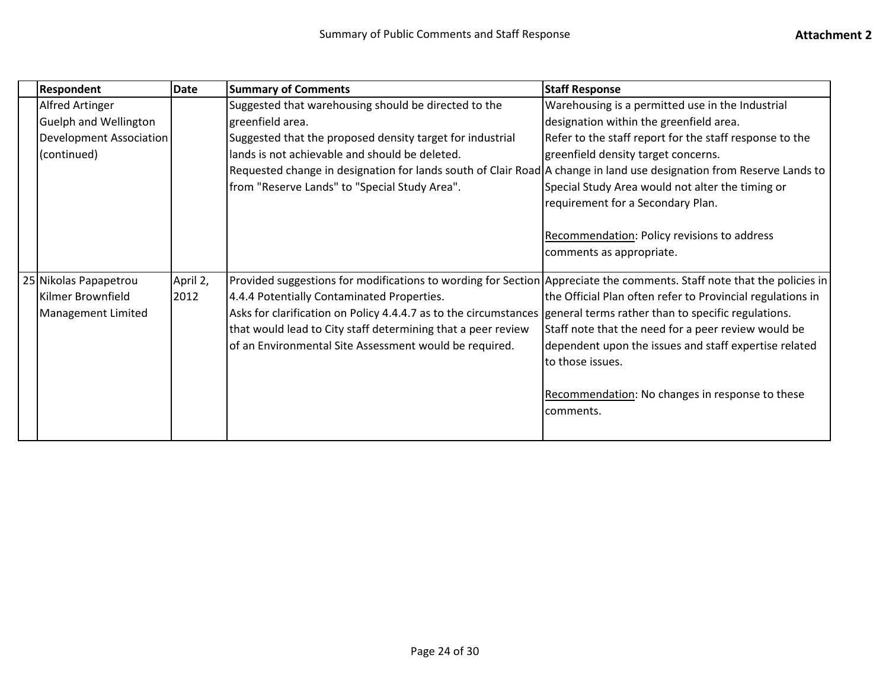|  | <b>Respondent</b>              | <b>Date</b> | <b>Summary of Comments</b>                                                                                             | <b>Staff Response</b>                                      |
|--|--------------------------------|-------------|------------------------------------------------------------------------------------------------------------------------|------------------------------------------------------------|
|  | <b>Alfred Artinger</b>         |             | Suggested that warehousing should be directed to the                                                                   | Warehousing is a permitted use in the Industrial           |
|  | <b>Guelph and Wellington</b>   |             | greenfield area.                                                                                                       | designation within the greenfield area.                    |
|  | <b>Development Association</b> |             | Suggested that the proposed density target for industrial                                                              | Refer to the staff report for the staff response to the    |
|  | (continued)                    |             | lands is not achievable and should be deleted.                                                                         | greenfield density target concerns.                        |
|  |                                |             | Requested change in designation for lands south of Clair Road A change in land use designation from Reserve Lands to   |                                                            |
|  |                                |             | from "Reserve Lands" to "Special Study Area".                                                                          | Special Study Area would not alter the timing or           |
|  |                                |             |                                                                                                                        | requirement for a Secondary Plan.                          |
|  |                                |             |                                                                                                                        |                                                            |
|  |                                |             |                                                                                                                        | Recommendation: Policy revisions to address                |
|  |                                |             |                                                                                                                        | comments as appropriate.                                   |
|  |                                |             |                                                                                                                        |                                                            |
|  | 25 Nikolas Papapetrou          | April 2,    | Provided suggestions for modifications to wording for Section Appreciate the comments. Staff note that the policies in |                                                            |
|  | Kilmer Brownfield              | 2012        | 4.4.4 Potentially Contaminated Properties.                                                                             | the Official Plan often refer to Provincial regulations in |
|  | <b>Management Limited</b>      |             | Asks for clarification on Policy 4.4.4.7 as to the circumstances general terms rather than to specific regulations.    |                                                            |
|  |                                |             | that would lead to City staff determining that a peer review                                                           | Staff note that the need for a peer review would be        |
|  |                                |             | of an Environmental Site Assessment would be required.                                                                 | dependent upon the issues and staff expertise related      |
|  |                                |             |                                                                                                                        | to those issues.                                           |
|  |                                |             |                                                                                                                        |                                                            |
|  |                                |             |                                                                                                                        | Recommendation: No changes in response to these            |
|  |                                |             |                                                                                                                        | comments.                                                  |
|  |                                |             |                                                                                                                        |                                                            |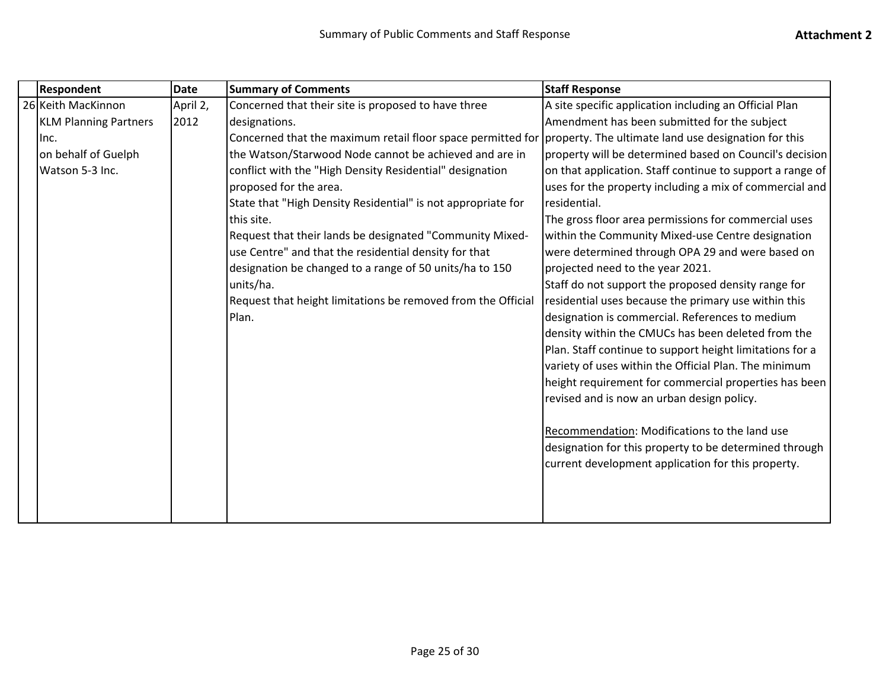| Respondent                   | <b>Date</b> | <b>Summary of Comments</b>                                                                                       | <b>Staff Response</b>                                     |
|------------------------------|-------------|------------------------------------------------------------------------------------------------------------------|-----------------------------------------------------------|
| 26 Keith MacKinnon           | April 2,    | Concerned that their site is proposed to have three                                                              | A site specific application including an Official Plan    |
| <b>KLM Planning Partners</b> | 2012        | designations.                                                                                                    | Amendment has been submitted for the subject              |
| lnc.                         |             | Concerned that the maximum retail floor space permitted for property. The ultimate land use designation for this |                                                           |
| on behalf of Guelph          |             | the Watson/Starwood Node cannot be achieved and are in                                                           | property will be determined based on Council's decision   |
| Watson 5-3 Inc.              |             | conflict with the "High Density Residential" designation                                                         | on that application. Staff continue to support a range of |
|                              |             | proposed for the area.                                                                                           | uses for the property including a mix of commercial and   |
|                              |             | State that "High Density Residential" is not appropriate for                                                     | residential.                                              |
|                              |             | this site.                                                                                                       | The gross floor area permissions for commercial uses      |
|                              |             | Request that their lands be designated "Community Mixed-                                                         | within the Community Mixed-use Centre designation         |
|                              |             | use Centre" and that the residential density for that                                                            | were determined through OPA 29 and were based on          |
|                              |             | designation be changed to a range of 50 units/ha to 150                                                          | projected need to the year 2021.                          |
|                              |             | units/ha.                                                                                                        | Staff do not support the proposed density range for       |
|                              |             | Request that height limitations be removed from the Official                                                     | residential uses because the primary use within this      |
|                              |             | Plan.                                                                                                            | designation is commercial. References to medium           |
|                              |             |                                                                                                                  | density within the CMUCs has been deleted from the        |
|                              |             |                                                                                                                  | Plan. Staff continue to support height limitations for a  |
|                              |             |                                                                                                                  | variety of uses within the Official Plan. The minimum     |
|                              |             |                                                                                                                  | height requirement for commercial properties has been     |
|                              |             |                                                                                                                  | revised and is now an urban design policy.                |
|                              |             |                                                                                                                  |                                                           |
|                              |             |                                                                                                                  | Recommendation: Modifications to the land use             |
|                              |             |                                                                                                                  | designation for this property to be determined through    |
|                              |             |                                                                                                                  | current development application for this property.        |
|                              |             |                                                                                                                  |                                                           |
|                              |             |                                                                                                                  |                                                           |
|                              |             |                                                                                                                  |                                                           |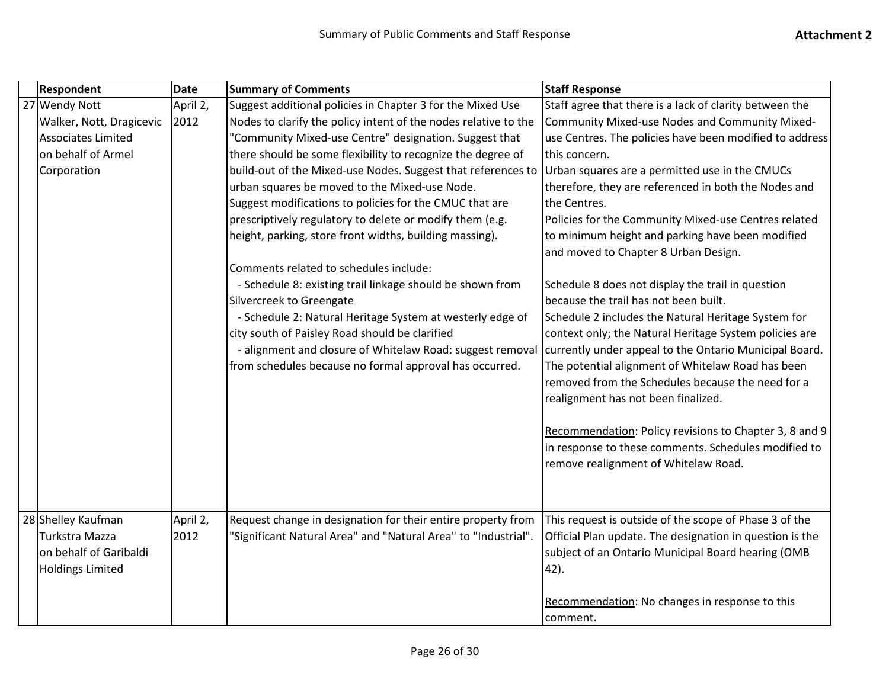| <b>Respondent</b>         | <b>Date</b> | <b>Summary of Comments</b>                                      | <b>Staff Response</b>                                    |
|---------------------------|-------------|-----------------------------------------------------------------|----------------------------------------------------------|
| 27 Wendy Nott             | April 2,    | Suggest additional policies in Chapter 3 for the Mixed Use      | Staff agree that there is a lack of clarity between the  |
| Walker, Nott, Dragicevic  | 2012        | Nodes to clarify the policy intent of the nodes relative to the | Community Mixed-use Nodes and Community Mixed-           |
| <b>Associates Limited</b> |             | "Community Mixed-use Centre" designation. Suggest that          | use Centres. The policies have been modified to address  |
| on behalf of Armel        |             | there should be some flexibility to recognize the degree of     | this concern.                                            |
| Corporation               |             | build-out of the Mixed-use Nodes. Suggest that references to    | Urban squares are a permitted use in the CMUCs           |
|                           |             | urban squares be moved to the Mixed-use Node.                   | therefore, they are referenced in both the Nodes and     |
|                           |             | Suggest modifications to policies for the CMUC that are         | the Centres.                                             |
|                           |             | prescriptively regulatory to delete or modify them (e.g.        | Policies for the Community Mixed-use Centres related     |
|                           |             | height, parking, store front widths, building massing).         | to minimum height and parking have been modified         |
|                           |             |                                                                 | and moved to Chapter 8 Urban Design.                     |
|                           |             | Comments related to schedules include:                          |                                                          |
|                           |             | - Schedule 8: existing trail linkage should be shown from       | Schedule 8 does not display the trail in question        |
|                           |             | Silvercreek to Greengate                                        | because the trail has not been built.                    |
|                           |             | - Schedule 2: Natural Heritage System at westerly edge of       | Schedule 2 includes the Natural Heritage System for      |
|                           |             | city south of Paisley Road should be clarified                  | context only; the Natural Heritage System policies are   |
|                           |             | - alignment and closure of Whitelaw Road: suggest removal       | currently under appeal to the Ontario Municipal Board.   |
|                           |             | from schedules because no formal approval has occurred.         | The potential alignment of Whitelaw Road has been        |
|                           |             |                                                                 | removed from the Schedules because the need for a        |
|                           |             |                                                                 | realignment has not been finalized.                      |
|                           |             |                                                                 | Recommendation: Policy revisions to Chapter 3, 8 and 9   |
|                           |             |                                                                 | in response to these comments. Schedules modified to     |
|                           |             |                                                                 | remove realignment of Whitelaw Road.                     |
|                           |             |                                                                 |                                                          |
|                           |             |                                                                 |                                                          |
| 28 Shelley Kaufman        | April 2,    | Request change in designation for their entire property from    | This request is outside of the scope of Phase 3 of the   |
| Turkstra Mazza            | 2012        | "Significant Natural Area" and "Natural Area" to "Industrial".  | Official Plan update. The designation in question is the |
| on behalf of Garibaldi    |             |                                                                 | subject of an Ontario Municipal Board hearing (OMB       |
| <b>Holdings Limited</b>   |             |                                                                 | 42).                                                     |
|                           |             |                                                                 |                                                          |
|                           |             |                                                                 | Recommendation: No changes in response to this           |
|                           |             |                                                                 | comment.                                                 |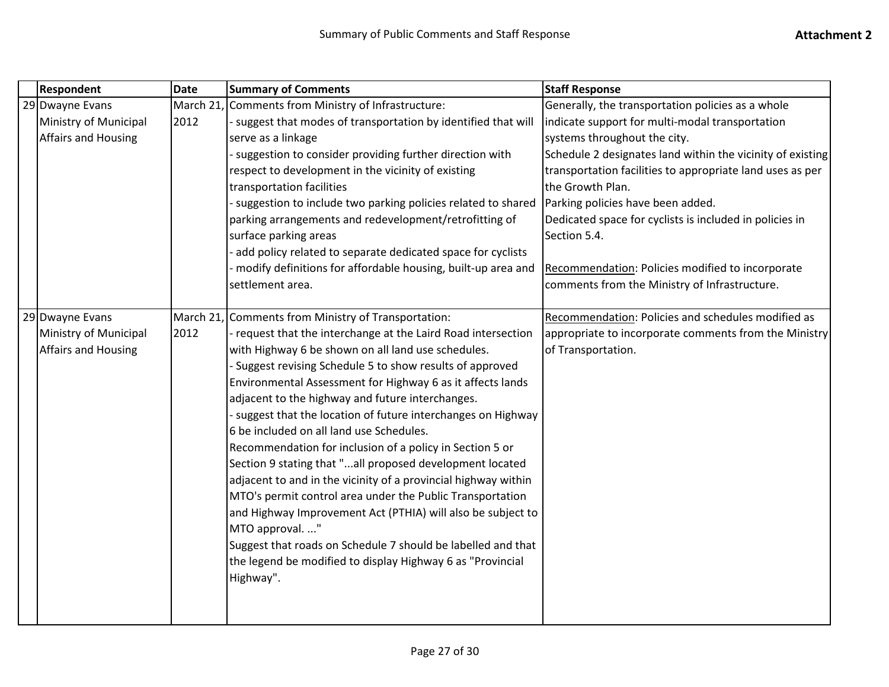| <b>Respondent</b>          | <b>Date</b> | <b>Summary of Comments</b>                                     | <b>Staff Response</b>                                      |
|----------------------------|-------------|----------------------------------------------------------------|------------------------------------------------------------|
| 29 Dwayne Evans            | March 21,   | <b>Comments from Ministry of Infrastructure:</b>               | Generally, the transportation policies as a whole          |
| Ministry of Municipal      | 2012        | - suggest that modes of transportation by identified that will | indicate support for multi-modal transportation            |
| <b>Affairs and Housing</b> |             | serve as a linkage                                             | systems throughout the city.                               |
|                            |             | - suggestion to consider providing further direction with      | Schedule 2 designates land within the vicinity of existing |
|                            |             | respect to development in the vicinity of existing             | transportation facilities to appropriate land uses as per  |
|                            |             | transportation facilities                                      | the Growth Plan.                                           |
|                            |             | - suggestion to include two parking policies related to shared | Parking policies have been added.                          |
|                            |             | parking arrangements and redevelopment/retrofitting of         | Dedicated space for cyclists is included in policies in    |
|                            |             | surface parking areas                                          | Section 5.4.                                               |
|                            |             | add policy related to separate dedicated space for cyclists    |                                                            |
|                            |             | modify definitions for affordable housing, built-up area and   | Recommendation: Policies modified to incorporate           |
|                            |             | settlement area.                                               | comments from the Ministry of Infrastructure.              |
|                            |             |                                                                |                                                            |
| 29 Dwayne Evans            |             | March 21, Comments from Ministry of Transportation:            | Recommendation: Policies and schedules modified as         |
| Ministry of Municipal      | 2012        | request that the interchange at the Laird Road intersection    | appropriate to incorporate comments from the Ministry      |
| <b>Affairs and Housing</b> |             | with Highway 6 be shown on all land use schedules.             | of Transportation.                                         |
|                            |             | Suggest revising Schedule 5 to show results of approved        |                                                            |
|                            |             | Environmental Assessment for Highway 6 as it affects lands     |                                                            |
|                            |             | adjacent to the highway and future interchanges.               |                                                            |
|                            |             | - suggest that the location of future interchanges on Highway  |                                                            |
|                            |             | 6 be included on all land use Schedules.                       |                                                            |
|                            |             | Recommendation for inclusion of a policy in Section 5 or       |                                                            |
|                            |             | Section 9 stating that "all proposed development located       |                                                            |
|                            |             | adjacent to and in the vicinity of a provincial highway within |                                                            |
|                            |             | MTO's permit control area under the Public Transportation      |                                                            |
|                            |             | and Highway Improvement Act (PTHIA) will also be subject to    |                                                            |
|                            |             | MTO approval. "                                                |                                                            |
|                            |             | Suggest that roads on Schedule 7 should be labelled and that   |                                                            |
|                            |             | the legend be modified to display Highway 6 as "Provincial     |                                                            |
|                            |             | Highway".                                                      |                                                            |
|                            |             |                                                                |                                                            |
|                            |             |                                                                |                                                            |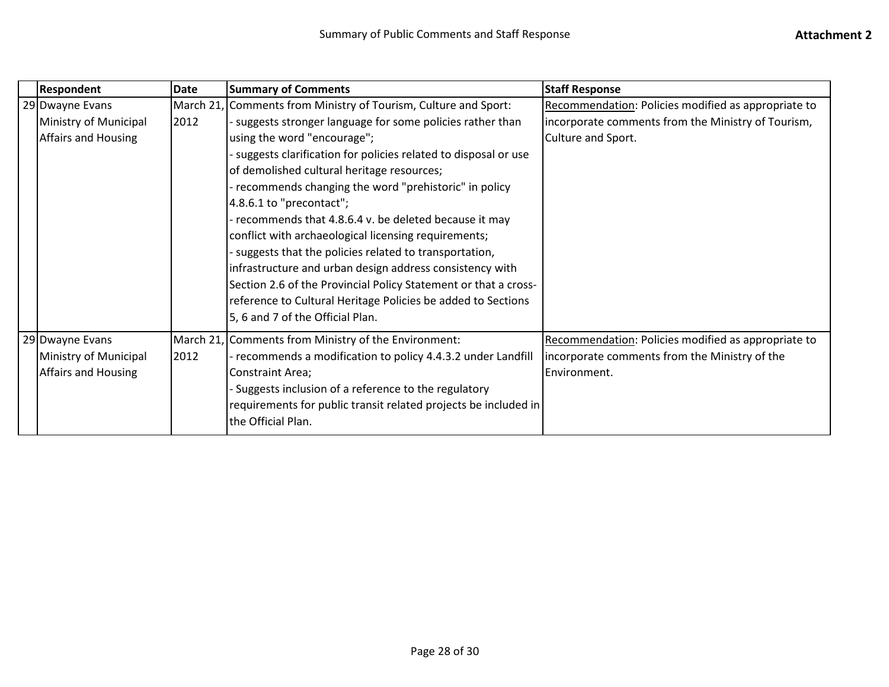| <b>Respondent</b>     | Date | <b>Summary of Comments</b>                                      | <b>Staff Response</b>                               |
|-----------------------|------|-----------------------------------------------------------------|-----------------------------------------------------|
| 29 Dwayne Evans       |      | March 21, Comments from Ministry of Tourism, Culture and Sport: | Recommendation: Policies modified as appropriate to |
| Ministry of Municipal | 2012 | suggests stronger language for some policies rather than        | incorporate comments from the Ministry of Tourism,  |
| Affairs and Housing   |      | using the word "encourage";                                     | Culture and Sport.                                  |
|                       |      | suggests clarification for policies related to disposal or use  |                                                     |
|                       |      | of demolished cultural heritage resources;                      |                                                     |
|                       |      | recommends changing the word "prehistoric" in policy            |                                                     |
|                       |      | 4.8.6.1 to "precontact";                                        |                                                     |
|                       |      | recommends that 4.8.6.4 v. be deleted because it may            |                                                     |
|                       |      | conflict with archaeological licensing requirements;            |                                                     |
|                       |      | suggests that the policies related to transportation,           |                                                     |
|                       |      | infrastructure and urban design address consistency with        |                                                     |
|                       |      | Section 2.6 of the Provincial Policy Statement or that a cross- |                                                     |
|                       |      | reference to Cultural Heritage Policies be added to Sections    |                                                     |
|                       |      | 5, 6 and 7 of the Official Plan.                                |                                                     |
| 29 Dwayne Evans       |      | March 21, Comments from Ministry of the Environment:            | Recommendation: Policies modified as appropriate to |
| Ministry of Municipal | 2012 | recommends a modification to policy 4.4.3.2 under Landfill      | incorporate comments from the Ministry of the       |
| Affairs and Housing   |      | Constraint Area;                                                | Environment.                                        |
|                       |      | Suggests inclusion of a reference to the regulatory             |                                                     |
|                       |      | requirements for public transit related projects be included in |                                                     |
|                       |      | the Official Plan.                                              |                                                     |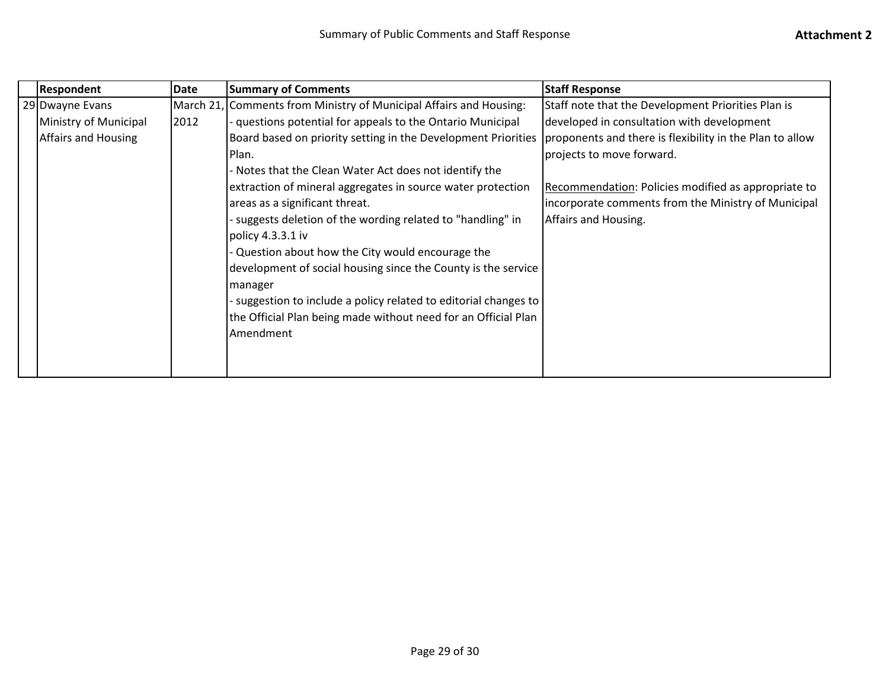|  | <b>Respondent</b>     | <b>Date</b> | <b>Summary of Comments</b>                                         | <b>Staff Response</b>                                    |
|--|-----------------------|-------------|--------------------------------------------------------------------|----------------------------------------------------------|
|  | 29 Dwayne Evans       |             | March 21, Comments from Ministry of Municipal Affairs and Housing: | Staff note that the Development Priorities Plan is       |
|  | Ministry of Municipal | 2012        | questions potential for appeals to the Ontario Municipal           | developed in consultation with development               |
|  | Affairs and Housing   |             | Board based on priority setting in the Development Priorities      | proponents and there is flexibility in the Plan to allow |
|  |                       |             | Plan.                                                              | projects to move forward.                                |
|  |                       |             | - Notes that the Clean Water Act does not identify the             |                                                          |
|  |                       |             | extraction of mineral aggregates in source water protection        | Recommendation: Policies modified as appropriate to      |
|  |                       |             | areas as a significant threat.                                     | incorporate comments from the Ministry of Municipal      |
|  |                       |             | - suggests deletion of the wording related to "handling" in        | Affairs and Housing.                                     |
|  |                       |             | policy 4.3.3.1 iv                                                  |                                                          |
|  |                       |             | Question about how the City would encourage the                    |                                                          |
|  |                       |             | development of social housing since the County is the service      |                                                          |
|  |                       |             | manager                                                            |                                                          |
|  |                       |             | - suggestion to include a policy related to editorial changes to   |                                                          |
|  |                       |             | the Official Plan being made without need for an Official Plan     |                                                          |
|  |                       |             | Amendment                                                          |                                                          |
|  |                       |             |                                                                    |                                                          |
|  |                       |             |                                                                    |                                                          |